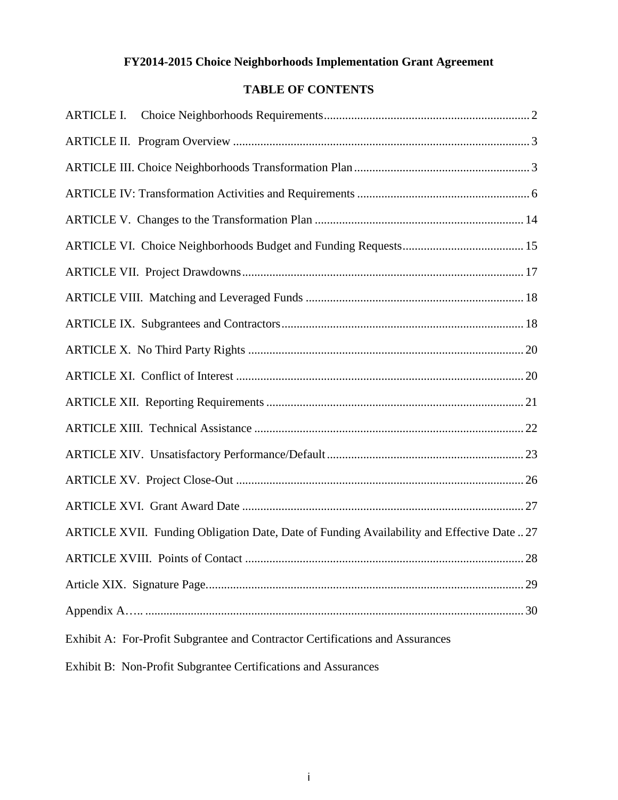# **FY2014-2015 Choice Neighborhoods Implementation Grant Agreement**

# **TABLE OF CONTENTS**

| <b>ARTICLE I.</b>                                                                          |
|--------------------------------------------------------------------------------------------|
|                                                                                            |
|                                                                                            |
|                                                                                            |
|                                                                                            |
|                                                                                            |
|                                                                                            |
|                                                                                            |
|                                                                                            |
|                                                                                            |
|                                                                                            |
|                                                                                            |
|                                                                                            |
|                                                                                            |
|                                                                                            |
|                                                                                            |
| ARTICLE XVII. Funding Obligation Date, Date of Funding Availability and Effective Date  27 |
| 28                                                                                         |
|                                                                                            |
|                                                                                            |
| Exhibit A: For-Profit Subgrantee and Contractor Certifications and Assurances              |
| Exhibit B: Non-Profit Subgrantee Certifications and Assurances                             |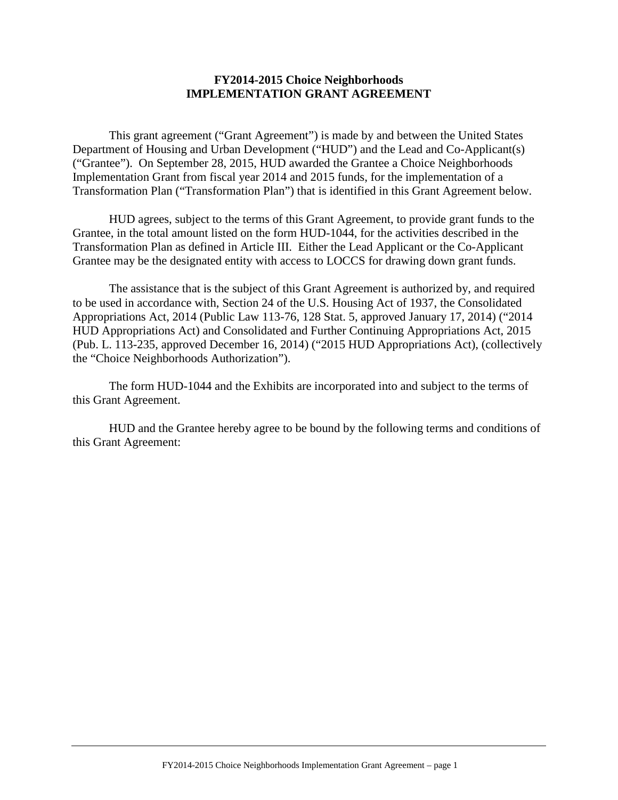#### **FY2014-2015 Choice Neighborhoods IMPLEMENTATION GRANT AGREEMENT**

This grant agreement ("Grant Agreement") is made by and between the United States Department of Housing and Urban Development ("HUD") and the Lead and Co-Applicant(s) ("Grantee"). On September 28, 2015, HUD awarded the Grantee a Choice Neighborhoods Implementation Grant from fiscal year 2014 and 2015 funds, for the implementation of a Transformation Plan ("Transformation Plan") that is identified in this Grant Agreement below.

HUD agrees, subject to the terms of this Grant Agreement, to provide grant funds to the Grantee, in the total amount listed on the form HUD-1044, for the activities described in the Transformation Plan as defined in Article III. Either the Lead Applicant or the Co-Applicant Grantee may be the designated entity with access to LOCCS for drawing down grant funds.

The assistance that is the subject of this Grant Agreement is authorized by, and required to be used in accordance with, Section 24 of the U.S. Housing Act of 1937, the Consolidated Appropriations Act, 2014 (Public Law 113-76, 128 Stat. 5, approved January 17, 2014) ("2014 HUD Appropriations Act) and Consolidated and Further Continuing Appropriations Act, 2015 (Pub. L. 113-235, approved December 16, 2014) ("2015 HUD Appropriations Act), (collectively the "Choice Neighborhoods Authorization").

The form HUD-1044 and the Exhibits are incorporated into and subject to the terms of this Grant Agreement.

HUD and the Grantee hereby agree to be bound by the following terms and conditions of this Grant Agreement: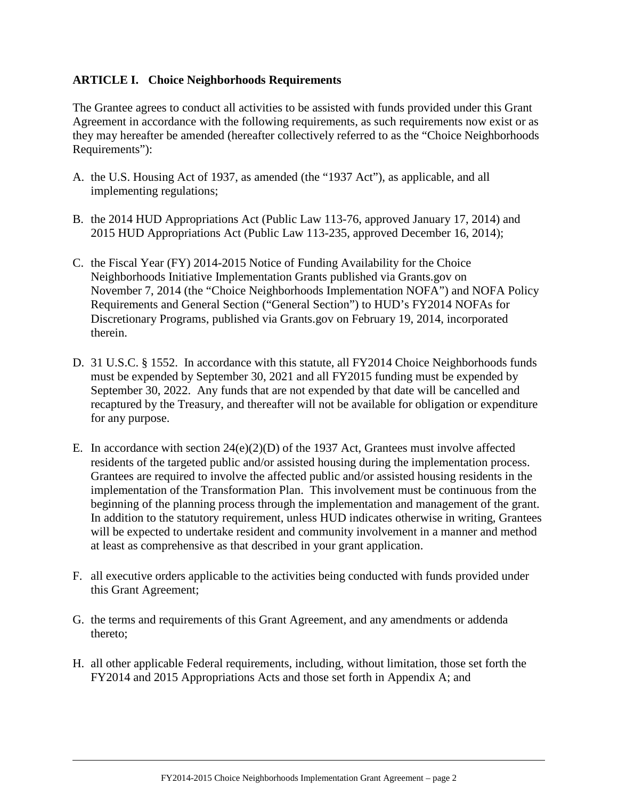#### <span id="page-2-0"></span>**ARTICLE I. Choice Neighborhoods Requirements**

The Grantee agrees to conduct all activities to be assisted with funds provided under this Grant Agreement in accordance with the following requirements, as such requirements now exist or as they may hereafter be amended (hereafter collectively referred to as the "Choice Neighborhoods Requirements"):

- A. the U.S. Housing Act of 1937, as amended (the "1937 Act"), as applicable, and all implementing regulations;
- B. the 2014 HUD Appropriations Act (Public Law 113-76, approved January 17, 2014) and 2015 HUD Appropriations Act (Public Law 113-235, approved December 16, 2014);
- C. the Fiscal Year (FY) 2014-2015 Notice of Funding Availability for the Choice Neighborhoods Initiative Implementation Grants published via Grants.gov on November 7, 2014 (the "Choice Neighborhoods Implementation NOFA") and NOFA Policy Requirements and General Section ("General Section") to HUD's FY2014 NOFAs for Discretionary Programs, published via Grants.gov on February 19, 2014, incorporated therein.
- D. 31 U.S.C. § 1552. In accordance with this statute, all FY2014 Choice Neighborhoods funds must be expended by September 30, 2021 and all FY2015 funding must be expended by September 30, 2022. Any funds that are not expended by that date will be cancelled and recaptured by the Treasury, and thereafter will not be available for obligation or expenditure for any purpose.
- E. In accordance with section  $24(e)(2)(D)$  of the 1937 Act, Grantees must involve affected residents of the targeted public and/or assisted housing during the implementation process. Grantees are required to involve the affected public and/or assisted housing residents in the implementation of the Transformation Plan. This involvement must be continuous from the beginning of the planning process through the implementation and management of the grant. In addition to the statutory requirement, unless HUD indicates otherwise in writing, Grantees will be expected to undertake resident and community involvement in a manner and method at least as comprehensive as that described in your grant application.
- F. all executive orders applicable to the activities being conducted with funds provided under this Grant Agreement;
- G. the terms and requirements of this Grant Agreement, and any amendments or addenda thereto;
- H. all other applicable Federal requirements, including, without limitation, those set forth the FY2014 and 2015 Appropriations Acts and those set forth in Appendix A; and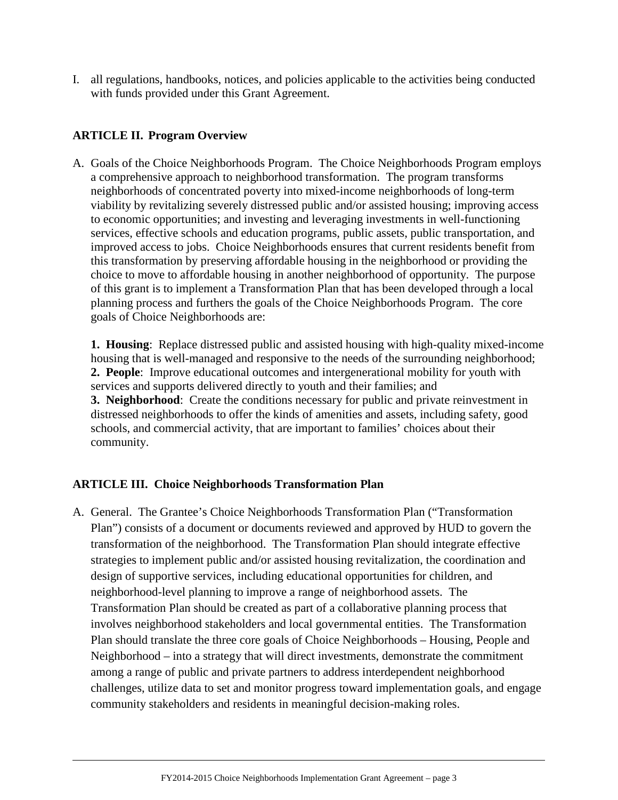I. all regulations, handbooks, notices, and policies applicable to the activities being conducted with funds provided under this Grant Agreement.

# <span id="page-3-0"></span>**ARTICLE II. Program Overview**

A. Goals of the Choice Neighborhoods Program. The Choice Neighborhoods Program employs a comprehensive approach to neighborhood transformation. The program transforms neighborhoods of concentrated poverty into mixed-income neighborhoods of long-term viability by revitalizing severely distressed public and/or assisted housing; improving access to economic opportunities; and investing and leveraging investments in well-functioning services, effective schools and education programs, public assets, public transportation, and improved access to jobs. Choice Neighborhoods ensures that current residents benefit from this transformation by preserving affordable housing in the neighborhood or providing the choice to move to affordable housing in another neighborhood of opportunity. The purpose of this grant is to implement a Transformation Plan that has been developed through a local planning process and furthers the goals of the Choice Neighborhoods Program. The core goals of Choice Neighborhoods are:

**1. Housing**: Replace distressed public and assisted housing with high-quality mixed-income housing that is well-managed and responsive to the needs of the surrounding neighborhood; **2. People**: Improve educational outcomes and intergenerational mobility for youth with services and supports delivered directly to youth and their families; and **3. Neighborhood**: Create the conditions necessary for public and private reinvestment in distressed neighborhoods to offer the kinds of amenities and assets, including safety, good schools, and commercial activity, that are important to families' choices about their community.

## <span id="page-3-1"></span>**ARTICLE III. Choice Neighborhoods Transformation Plan**

A. General. The Grantee's Choice Neighborhoods Transformation Plan ("Transformation Plan") consists of a document or documents reviewed and approved by HUD to govern the transformation of the neighborhood. The Transformation Plan should integrate effective strategies to implement public and/or assisted housing revitalization, the coordination and design of supportive services, including educational opportunities for children, and neighborhood-level planning to improve a range of neighborhood assets. The Transformation Plan should be created as part of a collaborative planning process that involves neighborhood stakeholders and local governmental entities. The Transformation Plan should translate the three core goals of Choice Neighborhoods – Housing, People and Neighborhood – into a strategy that will direct investments, demonstrate the commitment among a range of public and private partners to address interdependent neighborhood challenges, utilize data to set and monitor progress toward implementation goals, and engage community stakeholders and residents in meaningful decision-making roles.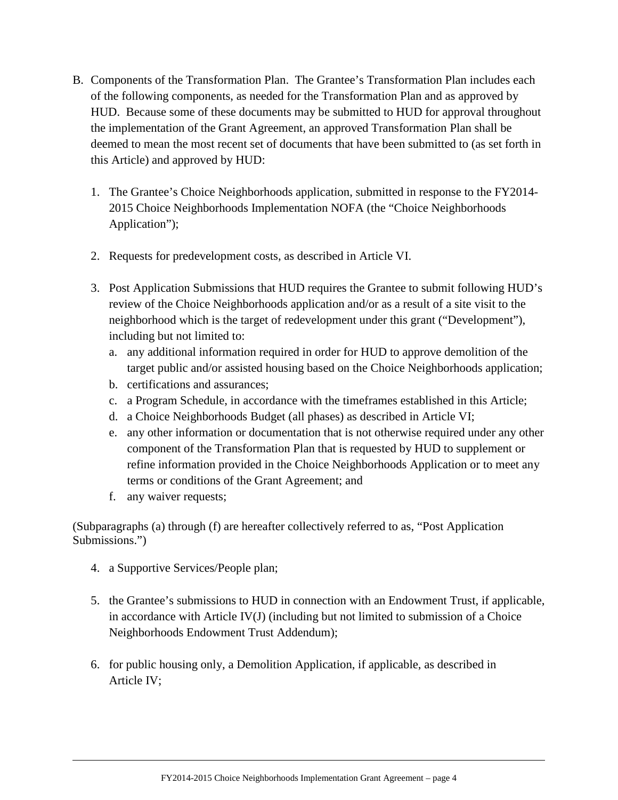- B. Components of the Transformation Plan. The Grantee's Transformation Plan includes each of the following components, as needed for the Transformation Plan and as approved by HUD. Because some of these documents may be submitted to HUD for approval throughout the implementation of the Grant Agreement, an approved Transformation Plan shall be deemed to mean the most recent set of documents that have been submitted to (as set forth in this Article) and approved by HUD:
	- 1. The Grantee's Choice Neighborhoods application, submitted in response to the FY2014- 2015 Choice Neighborhoods Implementation NOFA (the "Choice Neighborhoods Application");
	- 2. Requests for predevelopment costs, as described in Article VI.
	- 3. Post Application Submissions that HUD requires the Grantee to submit following HUD's review of the Choice Neighborhoods application and/or as a result of a site visit to the neighborhood which is the target of redevelopment under this grant ("Development"), including but not limited to:
		- a. any additional information required in order for HUD to approve demolition of the target public and/or assisted housing based on the Choice Neighborhoods application;
		- b. certifications and assurances;
		- c. a Program Schedule, in accordance with the timeframes established in this Article;
		- d. a Choice Neighborhoods Budget (all phases) as described in Article VI;
		- e. any other information or documentation that is not otherwise required under any other component of the Transformation Plan that is requested by HUD to supplement or refine information provided in the Choice Neighborhoods Application or to meet any terms or conditions of the Grant Agreement; and
		- f. any waiver requests;

(Subparagraphs (a) through (f) are hereafter collectively referred to as, "Post Application Submissions.")

- 4. a Supportive Services/People plan;
- 5. the Grantee's submissions to HUD in connection with an Endowment Trust, if applicable, in accordance with Article IV(J) (including but not limited to submission of a Choice Neighborhoods Endowment Trust Addendum);
- 6. for public housing only, a Demolition Application, if applicable, as described in Article IV;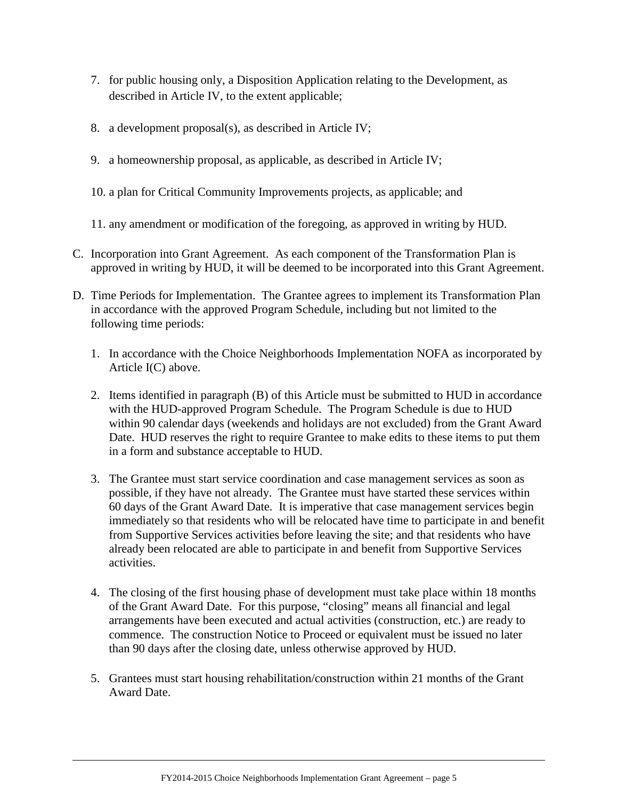- 7. for public housing only, a Disposition Application relating to the Development, as described in Article IV, to the extent applicable;
- 8. a development proposal(s), as described in Article IV;
- 9. a homeownership proposal, as applicable, as described in Article IV;
- 10. a plan for Critical Community Improvements projects, as applicable; and
- 11. any amendment or modification of the foregoing, as approved in writing by HUD.
- C. Incorporation into Grant Agreement. As each component of the Transformation Plan is approved in writing by HUD, it will be deemed to be incorporated into this Grant Agreement.
- D. Time Periods for Implementation. The Grantee agrees to implement its Transformation Plan in accordance with the approved Program Schedule, including but not limited to the following time periods:
	- 1. In accordance with the Choice Neighborhoods Implementation NOFA as incorporated by Article I(C) above.
	- 2. Items identified in paragraph (B) of this Article must be submitted to HUD in accordance with the HUD-approved Program Schedule. The Program Schedule is due to HUD within 90 calendar days (weekends and holidays are not excluded) from the Grant Award Date. HUD reserves the right to require Grantee to make edits to these items to put them in a form and substance acceptable to HUD.
	- 3. The Grantee must start service coordination and case management services as soon as possible, if they have not already. The Grantee must have started these services within 60 days of the Grant Award Date. It is imperative that case management services begin immediately so that residents who will be relocated have time to participate in and benefit from Supportive Services activities before leaving the site; and that residents who have already been relocated are able to participate in and benefit from Supportive Services activities.
	- 4. The closing of the first housing phase of development must take place within 18 months of the Grant Award Date. For this purpose, "closing" means all financial and legal arrangements have been executed and actual activities (construction, etc.) are ready to commence. The construction Notice to Proceed or equivalent must be issued no later than 90 days after the closing date, unless otherwise approved by HUD.
	- 5. Grantees must start housing rehabilitation/construction within 21 months of the Grant Award Date.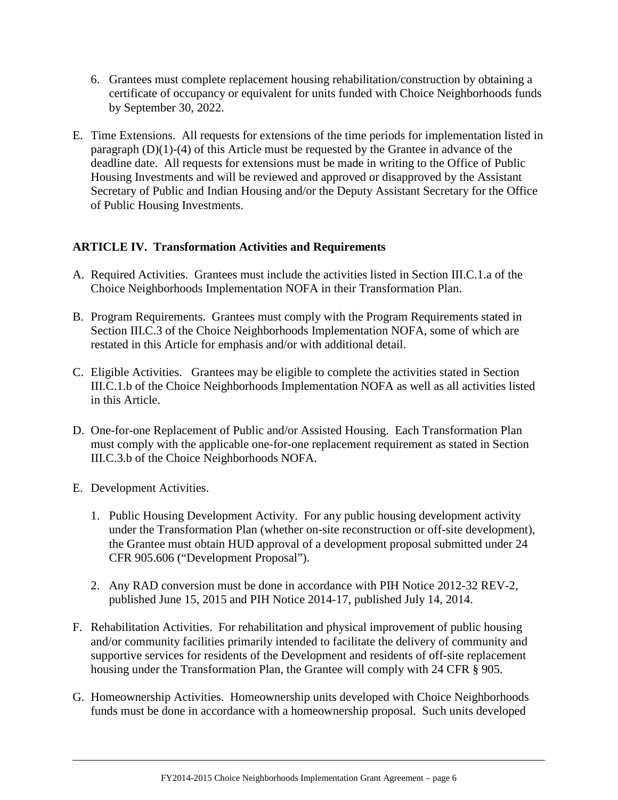- 6. Grantees must complete replacement housing rehabilitation/construction by obtaining a certificate of occupancy or equivalent for units funded with Choice Neighborhoods funds by September 30, 2022.
- E. Time Extensions. All requests for extensions of the time periods for implementation listed in paragraph (D)(1)-(4) of this Article must be requested by the Grantee in advance of the deadline date. All requests for extensions must be made in writing to the Office of Public Housing Investments and will be reviewed and approved or disapproved by the Assistant Secretary of Public and Indian Housing and/or the Deputy Assistant Secretary for the Office of Public Housing Investments.

# <span id="page-6-0"></span>**ARTICLE IV. Transformation Activities and Requirements**

- A. Required Activities. Grantees must include the activities listed in Section III.C.1.a of the Choice Neighborhoods Implementation NOFA in their Transformation Plan.
- B. Program Requirements. Grantees must comply with the Program Requirements stated in Section III.C.3 of the Choice Neighborhoods Implementation NOFA, some of which are restated in this Article for emphasis and/or with additional detail.
- C. Eligible Activities. Grantees may be eligible to complete the activities stated in Section III.C.1.b of the Choice Neighborhoods Implementation NOFA as well as all activities listed in this Article.
- D. One-for-one Replacement of Public and/or Assisted Housing. Each Transformation Plan must comply with the applicable one-for-one replacement requirement as stated in Section III.C.3.b of the Choice Neighborhoods NOFA.
- E. Development Activities.
	- 1. Public Housing Development Activity. For any public housing development activity under the Transformation Plan (whether on-site reconstruction or off-site development), the Grantee must obtain HUD approval of a development proposal submitted under 24 CFR 905.606 ("Development Proposal").
	- 2. Any RAD conversion must be done in accordance with PIH Notice 2012-32 REV-2, published June 15, 2015 and PIH Notice 2014-17, published July 14, 2014.
- F. Rehabilitation Activities. For rehabilitation and physical improvement of public housing and/or community facilities primarily intended to facilitate the delivery of community and supportive services for residents of the Development and residents of off-site replacement housing under the Transformation Plan, the Grantee will comply with 24 CFR § 905.
- G. Homeownership Activities. Homeownership units developed with Choice Neighborhoods funds must be done in accordance with a homeownership proposal. Such units developed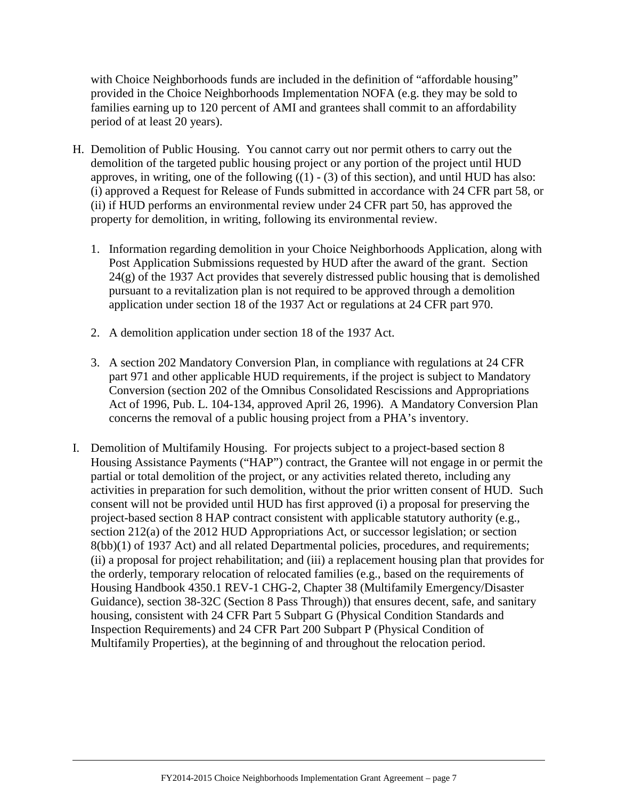with Choice Neighborhoods funds are included in the definition of "affordable housing" provided in the Choice Neighborhoods Implementation NOFA (e.g. they may be sold to families earning up to 120 percent of AMI and grantees shall commit to an affordability period of at least 20 years).

- H. Demolition of Public Housing. You cannot carry out nor permit others to carry out the demolition of the targeted public housing project or any portion of the project until HUD approves, in writing, one of the following  $((1) - (3)$  of this section), and until HUD has also: (i) approved a Request for Release of Funds submitted in accordance with 24 CFR part 58, or (ii) if HUD performs an environmental review under 24 CFR part 50, has approved the property for demolition, in writing, following its environmental review.
	- 1. Information regarding demolition in your Choice Neighborhoods Application, along with Post Application Submissions requested by HUD after the award of the grant. Section 24(g) of the 1937 Act provides that severely distressed public housing that is demolished pursuant to a revitalization plan is not required to be approved through a demolition application under section 18 of the 1937 Act or regulations at 24 CFR part 970.
	- 2. A demolition application under section 18 of the 1937 Act.
	- 3. A section 202 Mandatory Conversion Plan, in compliance with regulations at 24 CFR part 971 and other applicable HUD requirements, if the project is subject to Mandatory Conversion (section 202 of the Omnibus Consolidated Rescissions and Appropriations Act of 1996, Pub. L. 104-134, approved April 26, 1996). A Mandatory Conversion Plan concerns the removal of a public housing project from a PHA's inventory.
- I. Demolition of Multifamily Housing. For projects subject to a project-based section 8 Housing Assistance Payments ("HAP") contract, the Grantee will not engage in or permit the partial or total demolition of the project, or any activities related thereto, including any activities in preparation for such demolition, without the prior written consent of HUD. Such consent will not be provided until HUD has first approved (i) a proposal for preserving the project-based section 8 HAP contract consistent with applicable statutory authority (e.g., section 212(a) of the 2012 HUD Appropriations Act, or successor legislation; or section 8(bb)(1) of 1937 Act) and all related Departmental policies, procedures, and requirements; (ii) a proposal for project rehabilitation; and (iii) a replacement housing plan that provides for the orderly, temporary relocation of relocated families (e.g., based on the requirements of Housing Handbook 4350.1 REV-1 CHG-2, Chapter 38 (Multifamily Emergency/Disaster Guidance), section 38-32C (Section 8 Pass Through)) that ensures decent, safe, and sanitary housing, consistent with 24 CFR Part 5 Subpart G (Physical Condition Standards and Inspection Requirements) and 24 CFR Part 200 Subpart P (Physical Condition of Multifamily Properties), at the beginning of and throughout the relocation period.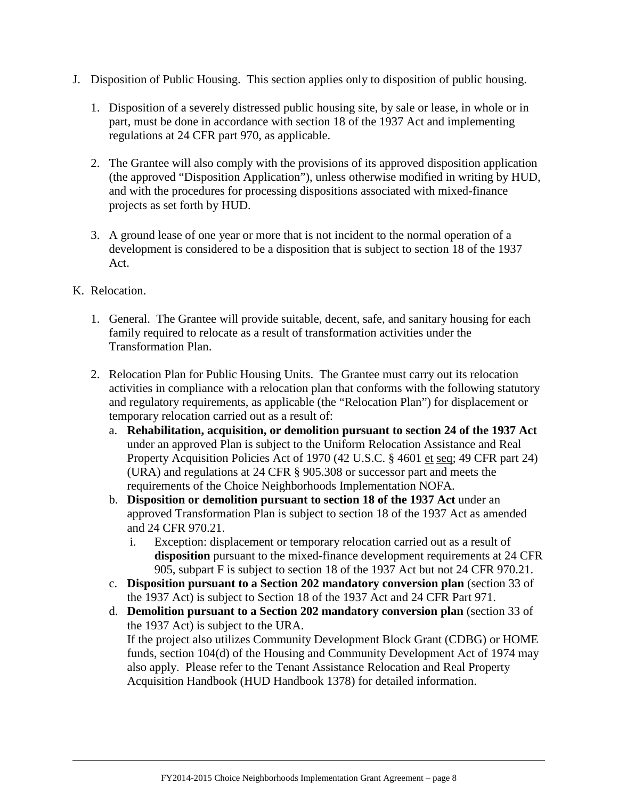- J. Disposition of Public Housing. This section applies only to disposition of public housing.
	- 1. Disposition of a severely distressed public housing site, by sale or lease, in whole or in part, must be done in accordance with section 18 of the 1937 Act and implementing regulations at 24 CFR part 970, as applicable.
	- 2. The Grantee will also comply with the provisions of its approved disposition application (the approved "Disposition Application"), unless otherwise modified in writing by HUD, and with the procedures for processing dispositions associated with mixed-finance projects as set forth by HUD.
	- 3. A ground lease of one year or more that is not incident to the normal operation of a development is considered to be a disposition that is subject to section 18 of the 1937 Act.
- K. Relocation.
	- 1. General. The Grantee will provide suitable, decent, safe, and sanitary housing for each family required to relocate as a result of transformation activities under the Transformation Plan.
	- 2. Relocation Plan for Public Housing Units. The Grantee must carry out its relocation activities in compliance with a relocation plan that conforms with the following statutory and regulatory requirements, as applicable (the "Relocation Plan") for displacement or temporary relocation carried out as a result of:
		- a. **Rehabilitation, acquisition, or demolition pursuant to section 24 of the 1937 Act** under an approved Plan is subject to the Uniform Relocation Assistance and Real Property Acquisition Policies Act of 1970 (42 U.S.C. § 4601 et seq; 49 CFR part 24) (URA) and regulations at 24 CFR § 905.308 or successor part and meets the requirements of the Choice Neighborhoods Implementation NOFA.
		- b. **Disposition or demolition pursuant to section 18 of the 1937 Act** under an approved Transformation Plan is subject to section 18 of the 1937 Act as amended and 24 CFR 970.21.
			- i. Exception: displacement or temporary relocation carried out as a result of **disposition** pursuant to the mixed-finance development requirements at 24 CFR 905, subpart F is subject to section 18 of the 1937 Act but not 24 CFR 970.21.
		- c. **Disposition pursuant to a Section 202 mandatory conversion plan** (section 33 of the 1937 Act) is subject to Section 18 of the 1937 Act and 24 CFR Part 971.
		- d. **Demolition pursuant to a Section 202 mandatory conversion plan** (section 33 of the 1937 Act) is subject to the URA. If the project also utilizes Community Development Block Grant (CDBG) or HOME funds, section 104(d) of the Housing and Community Development Act of 1974 may also apply. Please refer to the Tenant Assistance Relocation and Real Property Acquisition Handbook (HUD Handbook 1378) for detailed information.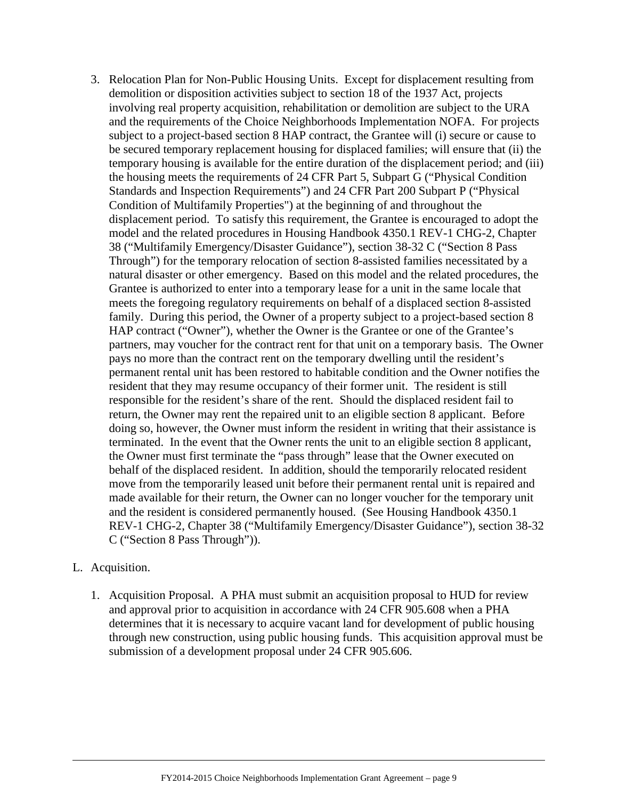- 3. Relocation Plan for Non-Public Housing Units. Except for displacement resulting from demolition or disposition activities subject to section 18 of the 1937 Act, projects involving real property acquisition, rehabilitation or demolition are subject to the URA and the requirements of the Choice Neighborhoods Implementation NOFA. For projects subject to a project-based section 8 HAP contract, the Grantee will (i) secure or cause to be secured temporary replacement housing for displaced families; will ensure that (ii) the temporary housing is available for the entire duration of the displacement period; and (iii) the housing meets the requirements of 24 CFR Part 5, Subpart G ("Physical Condition Standards and Inspection Requirements") and 24 CFR Part 200 Subpart P ("Physical Condition of Multifamily Properties") at the beginning of and throughout the displacement period. To satisfy this requirement, the Grantee is encouraged to adopt the model and the related procedures in Housing Handbook 4350.1 REV-1 CHG-2, Chapter 38 ("Multifamily Emergency/Disaster Guidance"), section 38-32 C ("Section 8 Pass Through") for the temporary relocation of section 8-assisted families necessitated by a natural disaster or other emergency. Based on this model and the related procedures, the Grantee is authorized to enter into a temporary lease for a unit in the same locale that meets the foregoing regulatory requirements on behalf of a displaced section 8-assisted family. During this period, the Owner of a property subject to a project-based section 8 HAP contract ("Owner"), whether the Owner is the Grantee or one of the Grantee's partners, may voucher for the contract rent for that unit on a temporary basis. The Owner pays no more than the contract rent on the temporary dwelling until the resident's permanent rental unit has been restored to habitable condition and the Owner notifies the resident that they may resume occupancy of their former unit. The resident is still responsible for the resident's share of the rent. Should the displaced resident fail to return, the Owner may rent the repaired unit to an eligible section 8 applicant. Before doing so, however, the Owner must inform the resident in writing that their assistance is terminated. In the event that the Owner rents the unit to an eligible section 8 applicant, the Owner must first terminate the "pass through" lease that the Owner executed on behalf of the displaced resident. In addition, should the temporarily relocated resident move from the temporarily leased unit before their permanent rental unit is repaired and made available for their return, the Owner can no longer voucher for the temporary unit and the resident is considered permanently housed. (See Housing Handbook 4350.1 REV-1 CHG-2, Chapter 38 ("Multifamily Emergency/Disaster Guidance"), section 38-32 C ("Section 8 Pass Through")).
- L. Acquisition.
	- 1. Acquisition Proposal. A PHA must submit an acquisition proposal to HUD for review and approval prior to acquisition in accordance with 24 CFR 905.608 when a PHA determines that it is necessary to acquire vacant land for development of public housing through new construction, using public housing funds. This acquisition approval must be submission of a development proposal under 24 CFR 905.606.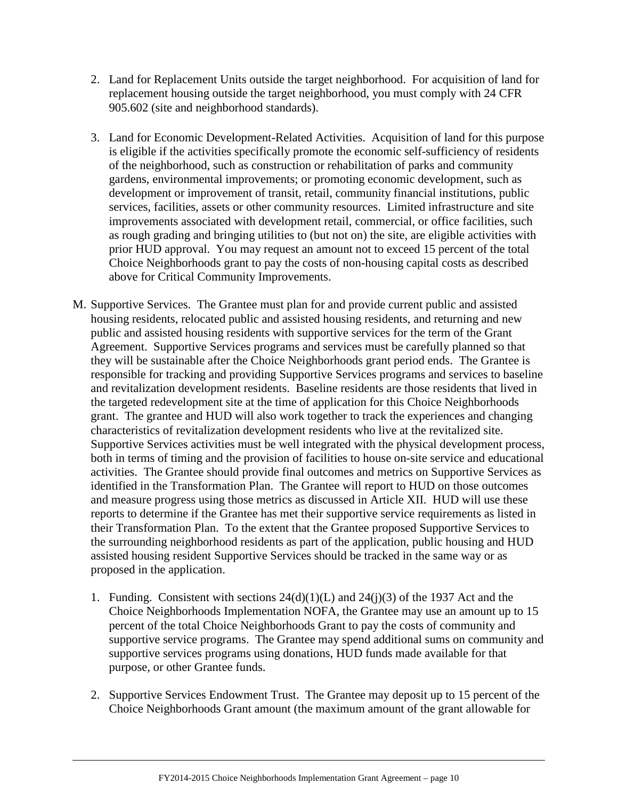- 2. Land for Replacement Units outside the target neighborhood. For acquisition of land for replacement housing outside the target neighborhood, you must comply with 24 CFR 905.602 (site and neighborhood standards).
- 3. Land for Economic Development-Related Activities. Acquisition of land for this purpose is eligible if the activities specifically promote the economic self-sufficiency of residents of the neighborhood, such as construction or rehabilitation of parks and community gardens, environmental improvements; or promoting economic development, such as development or improvement of transit, retail, community financial institutions, public services, facilities, assets or other community resources. Limited infrastructure and site improvements associated with development retail, commercial, or office facilities, such as rough grading and bringing utilities to (but not on) the site, are eligible activities with prior HUD approval. You may request an amount not to exceed 15 percent of the total Choice Neighborhoods grant to pay the costs of non-housing capital costs as described above for Critical Community Improvements.
- M. Supportive Services. The Grantee must plan for and provide current public and assisted housing residents, relocated public and assisted housing residents, and returning and new public and assisted housing residents with supportive services for the term of the Grant Agreement. Supportive Services programs and services must be carefully planned so that they will be sustainable after the Choice Neighborhoods grant period ends. The Grantee is responsible for tracking and providing Supportive Services programs and services to baseline and revitalization development residents. Baseline residents are those residents that lived in the targeted redevelopment site at the time of application for this Choice Neighborhoods grant. The grantee and HUD will also work together to track the experiences and changing characteristics of revitalization development residents who live at the revitalized site. Supportive Services activities must be well integrated with the physical development process, both in terms of timing and the provision of facilities to house on-site service and educational activities. The Grantee should provide final outcomes and metrics on Supportive Services as identified in the Transformation Plan. The Grantee will report to HUD on those outcomes and measure progress using those metrics as discussed in Article XII. HUD will use these reports to determine if the Grantee has met their supportive service requirements as listed in their Transformation Plan. To the extent that the Grantee proposed Supportive Services to the surrounding neighborhood residents as part of the application, public housing and HUD assisted housing resident Supportive Services should be tracked in the same way or as proposed in the application.
	- 1. Funding. Consistent with sections 24(d)(1)(L) and 24(j)(3) of the 1937 Act and the Choice Neighborhoods Implementation NOFA, the Grantee may use an amount up to 15 percent of the total Choice Neighborhoods Grant to pay the costs of community and supportive service programs. The Grantee may spend additional sums on community and supportive services programs using donations, HUD funds made available for that purpose, or other Grantee funds.
	- 2. Supportive Services Endowment Trust. The Grantee may deposit up to 15 percent of the Choice Neighborhoods Grant amount (the maximum amount of the grant allowable for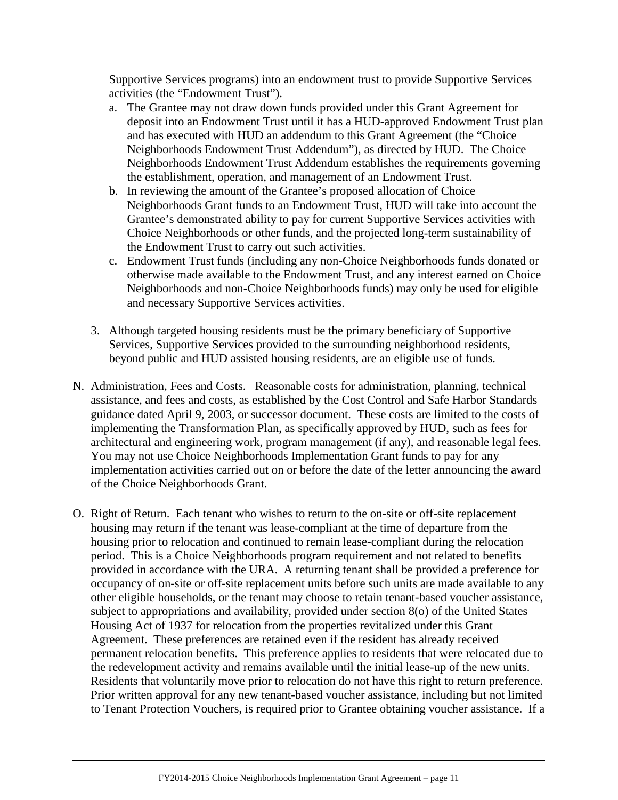Supportive Services programs) into an endowment trust to provide Supportive Services activities (the "Endowment Trust").

- a. The Grantee may not draw down funds provided under this Grant Agreement for deposit into an Endowment Trust until it has a HUD-approved Endowment Trust plan and has executed with HUD an addendum to this Grant Agreement (the "Choice Neighborhoods Endowment Trust Addendum"), as directed by HUD. The Choice Neighborhoods Endowment Trust Addendum establishes the requirements governing the establishment, operation, and management of an Endowment Trust.
- b. In reviewing the amount of the Grantee's proposed allocation of Choice Neighborhoods Grant funds to an Endowment Trust, HUD will take into account the Grantee's demonstrated ability to pay for current Supportive Services activities with Choice Neighborhoods or other funds, and the projected long-term sustainability of the Endowment Trust to carry out such activities.
- c. Endowment Trust funds (including any non-Choice Neighborhoods funds donated or otherwise made available to the Endowment Trust, and any interest earned on Choice Neighborhoods and non-Choice Neighborhoods funds) may only be used for eligible and necessary Supportive Services activities.
- 3. Although targeted housing residents must be the primary beneficiary of Supportive Services, Supportive Services provided to the surrounding neighborhood residents, beyond public and HUD assisted housing residents, are an eligible use of funds.
- N. Administration, Fees and Costs. Reasonable costs for administration, planning, technical assistance, and fees and costs, as established by the Cost Control and Safe Harbor Standards guidance dated April 9, 2003, or successor document. These costs are limited to the costs of implementing the Transformation Plan, as specifically approved by HUD, such as fees for architectural and engineering work, program management (if any), and reasonable legal fees. You may not use Choice Neighborhoods Implementation Grant funds to pay for any implementation activities carried out on or before the date of the letter announcing the award of the Choice Neighborhoods Grant.
- O. Right of Return. Each tenant who wishes to return to the on-site or off-site replacement housing may return if the tenant was lease-compliant at the time of departure from the housing prior to relocation and continued to remain lease-compliant during the relocation period. This is a Choice Neighborhoods program requirement and not related to benefits provided in accordance with the URA. A returning tenant shall be provided a preference for occupancy of on-site or off-site replacement units before such units are made available to any other eligible households, or the tenant may choose to retain tenant-based voucher assistance, subject to appropriations and availability, provided under section 8(o) of the United States Housing Act of 1937 for relocation from the properties revitalized under this Grant Agreement. These preferences are retained even if the resident has already received permanent relocation benefits. This preference applies to residents that were relocated due to the redevelopment activity and remains available until the initial lease-up of the new units. Residents that voluntarily move prior to relocation do not have this right to return preference. Prior written approval for any new tenant-based voucher assistance, including but not limited to Tenant Protection Vouchers, is required prior to Grantee obtaining voucher assistance. If a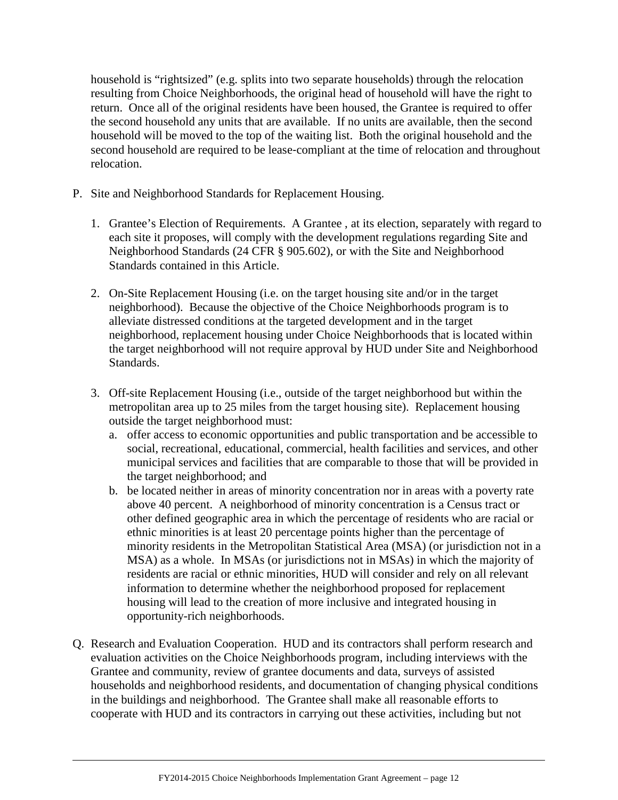household is "rightsized" (e.g. splits into two separate households) through the relocation resulting from Choice Neighborhoods, the original head of household will have the right to return. Once all of the original residents have been housed, the Grantee is required to offer the second household any units that are available. If no units are available, then the second household will be moved to the top of the waiting list. Both the original household and the second household are required to be lease-compliant at the time of relocation and throughout relocation.

- P. Site and Neighborhood Standards for Replacement Housing.
	- 1. Grantee's Election of Requirements. A Grantee , at its election, separately with regard to each site it proposes, will comply with the development regulations regarding Site and Neighborhood Standards (24 CFR § 905.602), or with the Site and Neighborhood Standards contained in this Article.
	- 2. On-Site Replacement Housing (i.e. on the target housing site and/or in the target neighborhood). Because the objective of the Choice Neighborhoods program is to alleviate distressed conditions at the targeted development and in the target neighborhood, replacement housing under Choice Neighborhoods that is located within the target neighborhood will not require approval by HUD under Site and Neighborhood Standards.
	- 3. Off-site Replacement Housing (i.e., outside of the target neighborhood but within the metropolitan area up to 25 miles from the target housing site). Replacement housing outside the target neighborhood must:
		- a. offer access to economic opportunities and public transportation and be accessible to social, recreational, educational, commercial, health facilities and services, and other municipal services and facilities that are comparable to those that will be provided in the target neighborhood; and
		- b. be located neither in areas of minority concentration nor in areas with a poverty rate above 40 percent. A neighborhood of minority concentration is a Census tract or other defined geographic area in which the percentage of residents who are racial or ethnic minorities is at least 20 percentage points higher than the percentage of minority residents in the Metropolitan Statistical Area (MSA) (or jurisdiction not in a MSA) as a whole. In MSAs (or jurisdictions not in MSAs) in which the majority of residents are racial or ethnic minorities, HUD will consider and rely on all relevant information to determine whether the neighborhood proposed for replacement housing will lead to the creation of more inclusive and integrated housing in opportunity-rich neighborhoods.
- Q. Research and Evaluation Cooperation. HUD and its contractors shall perform research and evaluation activities on the Choice Neighborhoods program, including interviews with the Grantee and community, review of grantee documents and data, surveys of assisted households and neighborhood residents, and documentation of changing physical conditions in the buildings and neighborhood. The Grantee shall make all reasonable efforts to cooperate with HUD and its contractors in carrying out these activities, including but not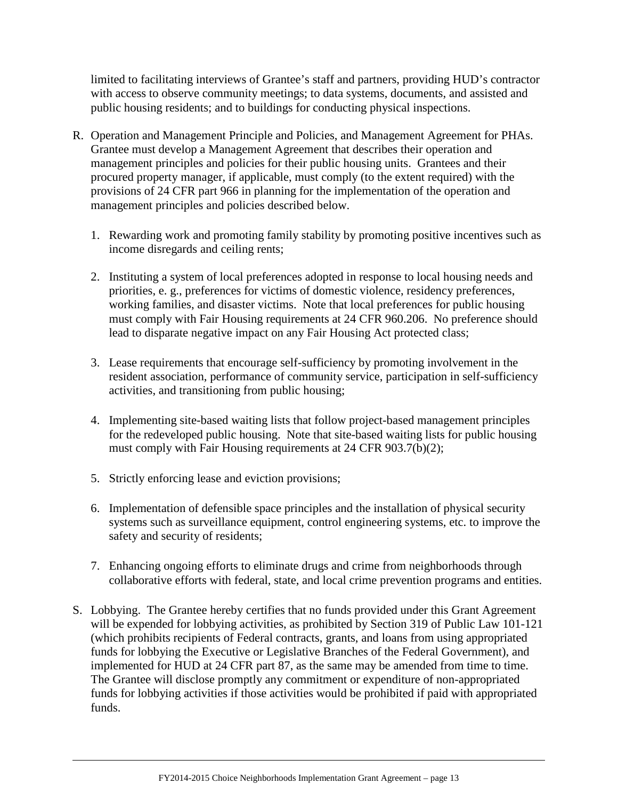limited to facilitating interviews of Grantee's staff and partners, providing HUD's contractor with access to observe community meetings; to data systems, documents, and assisted and public housing residents; and to buildings for conducting physical inspections.

- R. Operation and Management Principle and Policies, and Management Agreement for PHAs. Grantee must develop a Management Agreement that describes their operation and management principles and policies for their public housing units. Grantees and their procured property manager, if applicable, must comply (to the extent required) with the provisions of 24 CFR part 966 in planning for the implementation of the operation and management principles and policies described below.
	- 1. Rewarding work and promoting family stability by promoting positive incentives such as income disregards and ceiling rents;
	- 2. Instituting a system of local preferences adopted in response to local housing needs and priorities, e. g., preferences for victims of domestic violence, residency preferences, working families, and disaster victims. Note that local preferences for public housing must comply with Fair Housing requirements at 24 CFR 960.206. No preference should lead to disparate negative impact on any Fair Housing Act protected class;
	- 3. Lease requirements that encourage self-sufficiency by promoting involvement in the resident association, performance of community service, participation in self-sufficiency activities, and transitioning from public housing;
	- 4. Implementing site-based waiting lists that follow project-based management principles for the redeveloped public housing. Note that site-based waiting lists for public housing must comply with Fair Housing requirements at 24 CFR 903.7(b)(2);
	- 5. Strictly enforcing lease and eviction provisions;
	- 6. Implementation of defensible space principles and the installation of physical security systems such as surveillance equipment, control engineering systems, etc. to improve the safety and security of residents;
	- 7. Enhancing ongoing efforts to eliminate drugs and crime from neighborhoods through collaborative efforts with federal, state, and local crime prevention programs and entities.
- S. Lobbying. The Grantee hereby certifies that no funds provided under this Grant Agreement will be expended for lobbying activities, as prohibited by Section 319 of Public Law 101-121 (which prohibits recipients of Federal contracts, grants, and loans from using appropriated funds for lobbying the Executive or Legislative Branches of the Federal Government), and implemented for HUD at 24 CFR part 87, as the same may be amended from time to time. The Grantee will disclose promptly any commitment or expenditure of non-appropriated funds for lobbying activities if those activities would be prohibited if paid with appropriated funds.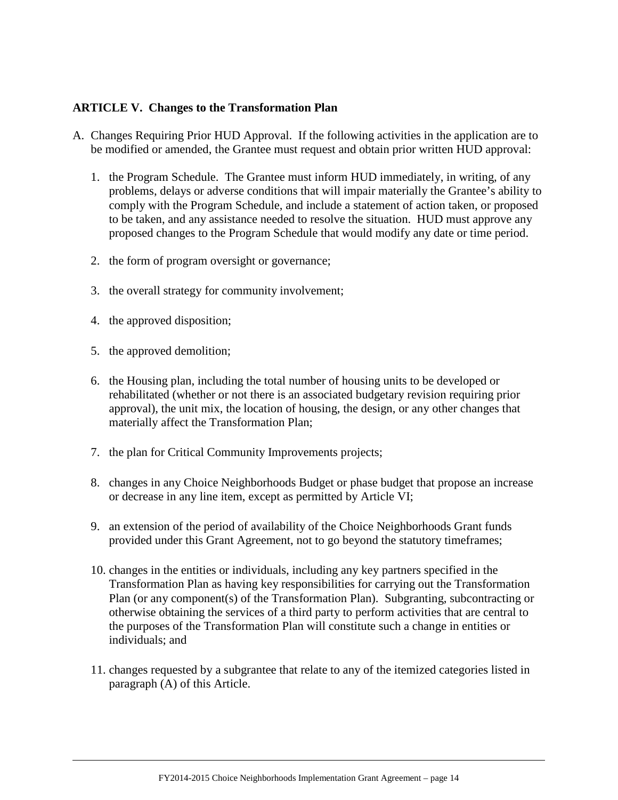#### <span id="page-14-0"></span>**ARTICLE V. Changes to the Transformation Plan**

- A. Changes Requiring Prior HUD Approval. If the following activities in the application are to be modified or amended, the Grantee must request and obtain prior written HUD approval:
	- 1. the Program Schedule. The Grantee must inform HUD immediately, in writing, of any problems, delays or adverse conditions that will impair materially the Grantee's ability to comply with the Program Schedule, and include a statement of action taken, or proposed to be taken, and any assistance needed to resolve the situation. HUD must approve any proposed changes to the Program Schedule that would modify any date or time period.
	- 2. the form of program oversight or governance;
	- 3. the overall strategy for community involvement;
	- 4. the approved disposition;
	- 5. the approved demolition;
	- 6. the Housing plan, including the total number of housing units to be developed or rehabilitated (whether or not there is an associated budgetary revision requiring prior approval), the unit mix, the location of housing, the design, or any other changes that materially affect the Transformation Plan;
	- 7. the plan for Critical Community Improvements projects;
	- 8. changes in any Choice Neighborhoods Budget or phase budget that propose an increase or decrease in any line item, except as permitted by Article VI;
	- 9. an extension of the period of availability of the Choice Neighborhoods Grant funds provided under this Grant Agreement, not to go beyond the statutory timeframes;
	- 10. changes in the entities or individuals, including any key partners specified in the Transformation Plan as having key responsibilities for carrying out the Transformation Plan (or any component(s) of the Transformation Plan). Subgranting, subcontracting or otherwise obtaining the services of a third party to perform activities that are central to the purposes of the Transformation Plan will constitute such a change in entities or individuals; and
	- 11. changes requested by a subgrantee that relate to any of the itemized categories listed in paragraph (A) of this Article.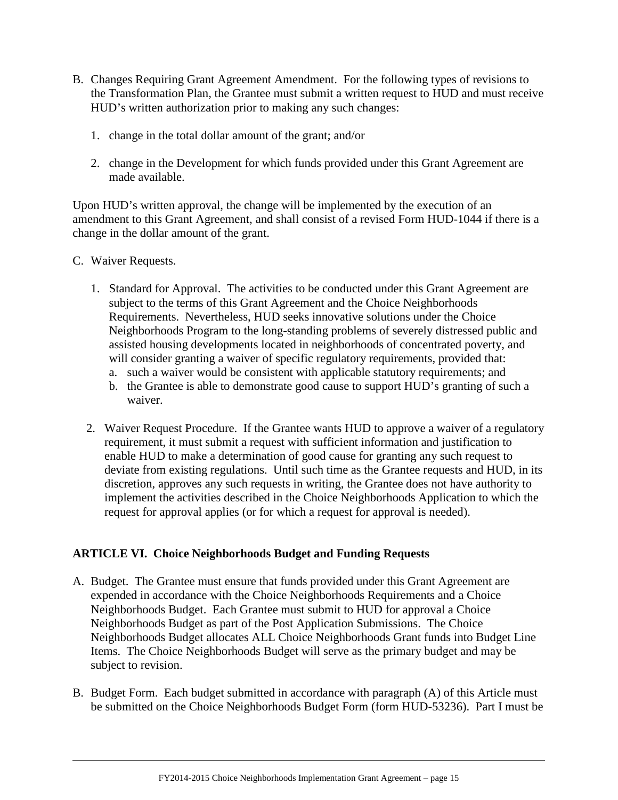- B. Changes Requiring Grant Agreement Amendment. For the following types of revisions to the Transformation Plan, the Grantee must submit a written request to HUD and must receive HUD's written authorization prior to making any such changes:
	- 1. change in the total dollar amount of the grant; and/or
	- 2. change in the Development for which funds provided under this Grant Agreement are made available.

Upon HUD's written approval, the change will be implemented by the execution of an amendment to this Grant Agreement, and shall consist of a revised Form HUD-1044 if there is a change in the dollar amount of the grant.

- C. Waiver Requests.
	- 1. Standard for Approval. The activities to be conducted under this Grant Agreement are subject to the terms of this Grant Agreement and the Choice Neighborhoods Requirements. Nevertheless, HUD seeks innovative solutions under the Choice Neighborhoods Program to the long-standing problems of severely distressed public and assisted housing developments located in neighborhoods of concentrated poverty, and will consider granting a waiver of specific regulatory requirements, provided that:
		- a. such a waiver would be consistent with applicable statutory requirements; and
		- b. the Grantee is able to demonstrate good cause to support HUD's granting of such a waiver.
	- 2. Waiver Request Procedure. If the Grantee wants HUD to approve a waiver of a regulatory requirement, it must submit a request with sufficient information and justification to enable HUD to make a determination of good cause for granting any such request to deviate from existing regulations. Until such time as the Grantee requests and HUD, in its discretion, approves any such requests in writing, the Grantee does not have authority to implement the activities described in the Choice Neighborhoods Application to which the request for approval applies (or for which a request for approval is needed).

## <span id="page-15-0"></span>**ARTICLE VI. Choice Neighborhoods Budget and Funding Requests**

- A. Budget. The Grantee must ensure that funds provided under this Grant Agreement are expended in accordance with the Choice Neighborhoods Requirements and a Choice Neighborhoods Budget. Each Grantee must submit to HUD for approval a Choice Neighborhoods Budget as part of the Post Application Submissions. The Choice Neighborhoods Budget allocates ALL Choice Neighborhoods Grant funds into Budget Line Items. The Choice Neighborhoods Budget will serve as the primary budget and may be subject to revision.
- B. Budget Form. Each budget submitted in accordance with paragraph (A) of this Article must be submitted on the Choice Neighborhoods Budget Form (form HUD-53236). Part I must be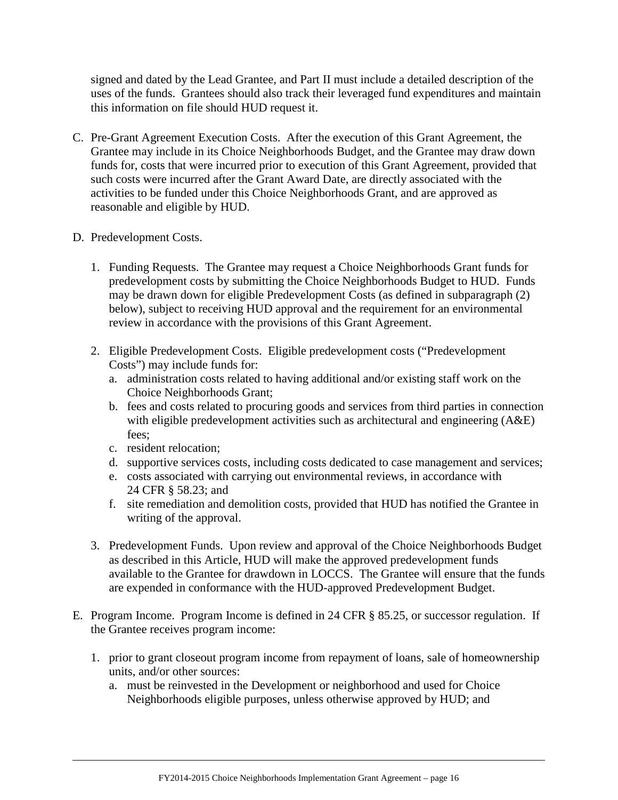signed and dated by the Lead Grantee, and Part II must include a detailed description of the uses of the funds. Grantees should also track their leveraged fund expenditures and maintain this information on file should HUD request it.

- C. Pre-Grant Agreement Execution Costs. After the execution of this Grant Agreement, the Grantee may include in its Choice Neighborhoods Budget, and the Grantee may draw down funds for, costs that were incurred prior to execution of this Grant Agreement, provided that such costs were incurred after the Grant Award Date, are directly associated with the activities to be funded under this Choice Neighborhoods Grant, and are approved as reasonable and eligible by HUD.
- D. Predevelopment Costs.
	- 1. Funding Requests. The Grantee may request a Choice Neighborhoods Grant funds for predevelopment costs by submitting the Choice Neighborhoods Budget to HUD. Funds may be drawn down for eligible Predevelopment Costs (as defined in subparagraph (2) below), subject to receiving HUD approval and the requirement for an environmental review in accordance with the provisions of this Grant Agreement.
	- 2. Eligible Predevelopment Costs. Eligible predevelopment costs ("Predevelopment Costs") may include funds for:
		- a. administration costs related to having additional and/or existing staff work on the Choice Neighborhoods Grant;
		- b. fees and costs related to procuring goods and services from third parties in connection with eligible predevelopment activities such as architectural and engineering  $(A&E)$ fees;
		- c. resident relocation;
		- d. supportive services costs, including costs dedicated to case management and services;
		- e. costs associated with carrying out environmental reviews, in accordance with 24 CFR § 58.23; and
		- f. site remediation and demolition costs, provided that HUD has notified the Grantee in writing of the approval.
	- 3. Predevelopment Funds. Upon review and approval of the Choice Neighborhoods Budget as described in this Article, HUD will make the approved predevelopment funds available to the Grantee for drawdown in LOCCS. The Grantee will ensure that the funds are expended in conformance with the HUD-approved Predevelopment Budget.
- E. Program Income. Program Income is defined in 24 CFR § 85.25, or successor regulation. If the Grantee receives program income:
	- 1. prior to grant closeout program income from repayment of loans, sale of homeownership units, and/or other sources:
		- a. must be reinvested in the Development or neighborhood and used for Choice Neighborhoods eligible purposes, unless otherwise approved by HUD; and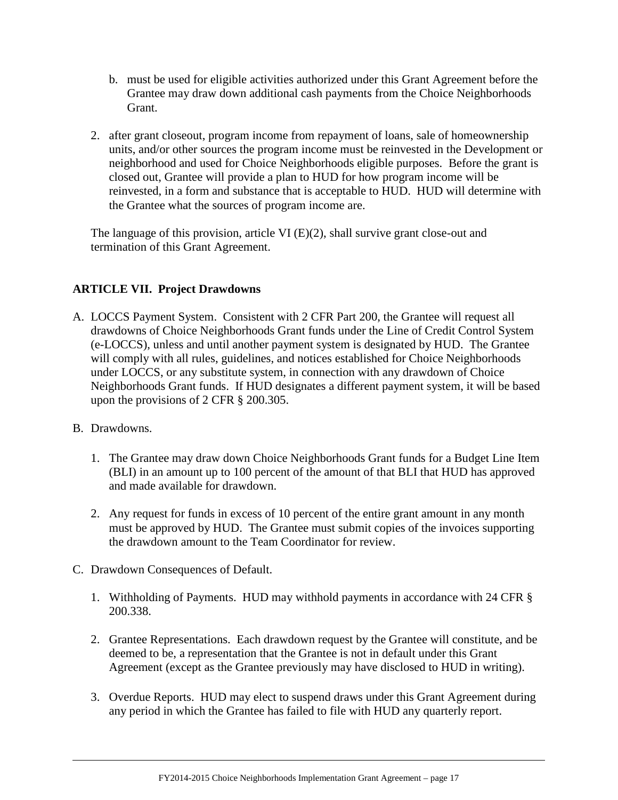- b. must be used for eligible activities authorized under this Grant Agreement before the Grantee may draw down additional cash payments from the Choice Neighborhoods Grant.
- 2. after grant closeout, program income from repayment of loans, sale of homeownership units, and/or other sources the program income must be reinvested in the Development or neighborhood and used for Choice Neighborhoods eligible purposes. Before the grant is closed out, Grantee will provide a plan to HUD for how program income will be reinvested, in a form and substance that is acceptable to HUD. HUD will determine with the Grantee what the sources of program income are.

The language of this provision, article VI (E)(2), shall survive grant close-out and termination of this Grant Agreement.

# <span id="page-17-0"></span>**ARTICLE VII. Project Drawdowns**

- A. LOCCS Payment System. Consistent with 2 CFR Part 200, the Grantee will request all drawdowns of Choice Neighborhoods Grant funds under the Line of Credit Control System (e-LOCCS), unless and until another payment system is designated by HUD. The Grantee will comply with all rules, guidelines, and notices established for Choice Neighborhoods under LOCCS, or any substitute system, in connection with any drawdown of Choice Neighborhoods Grant funds. If HUD designates a different payment system, it will be based upon the provisions of 2 CFR § 200.305.
- B. Drawdowns.
	- 1. The Grantee may draw down Choice Neighborhoods Grant funds for a Budget Line Item (BLI) in an amount up to 100 percent of the amount of that BLI that HUD has approved and made available for drawdown.
	- 2. Any request for funds in excess of 10 percent of the entire grant amount in any month must be approved by HUD. The Grantee must submit copies of the invoices supporting the drawdown amount to the Team Coordinator for review.
- C. Drawdown Consequences of Default.
	- 1. Withholding of Payments. HUD may withhold payments in accordance with 24 CFR § 200.338.
	- 2. Grantee Representations. Each drawdown request by the Grantee will constitute, and be deemed to be, a representation that the Grantee is not in default under this Grant Agreement (except as the Grantee previously may have disclosed to HUD in writing).
	- 3. Overdue Reports. HUD may elect to suspend draws under this Grant Agreement during any period in which the Grantee has failed to file with HUD any quarterly report.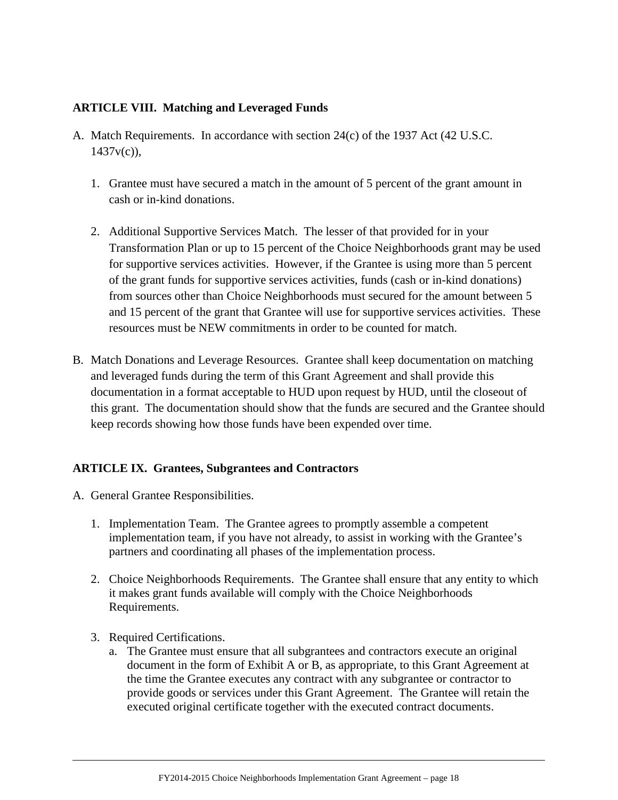# <span id="page-18-0"></span>**ARTICLE VIII. Matching and Leveraged Funds**

- A. Match Requirements. In accordance with section 24(c) of the 1937 Act (42 U.S.C.  $1437v(c)$ ),
	- 1. Grantee must have secured a match in the amount of 5 percent of the grant amount in cash or in-kind donations.
	- 2. Additional Supportive Services Match. The lesser of that provided for in your Transformation Plan or up to 15 percent of the Choice Neighborhoods grant may be used for supportive services activities. However, if the Grantee is using more than 5 percent of the grant funds for supportive services activities, funds (cash or in-kind donations) from sources other than Choice Neighborhoods must secured for the amount between 5 and 15 percent of the grant that Grantee will use for supportive services activities. These resources must be NEW commitments in order to be counted for match.
- B. Match Donations and Leverage Resources. Grantee shall keep documentation on matching and leveraged funds during the term of this Grant Agreement and shall provide this documentation in a format acceptable to HUD upon request by HUD, until the closeout of this grant. The documentation should show that the funds are secured and the Grantee should keep records showing how those funds have been expended over time.

## <span id="page-18-1"></span>**ARTICLE IX. Grantees, Subgrantees and Contractors**

- A. General Grantee Responsibilities.
	- 1. Implementation Team. The Grantee agrees to promptly assemble a competent implementation team, if you have not already, to assist in working with the Grantee's partners and coordinating all phases of the implementation process.
	- 2. Choice Neighborhoods Requirements. The Grantee shall ensure that any entity to which it makes grant funds available will comply with the Choice Neighborhoods Requirements.
	- 3. Required Certifications.
		- a. The Grantee must ensure that all subgrantees and contractors execute an original document in the form of Exhibit A or B, as appropriate, to this Grant Agreement at the time the Grantee executes any contract with any subgrantee or contractor to provide goods or services under this Grant Agreement. The Grantee will retain the executed original certificate together with the executed contract documents.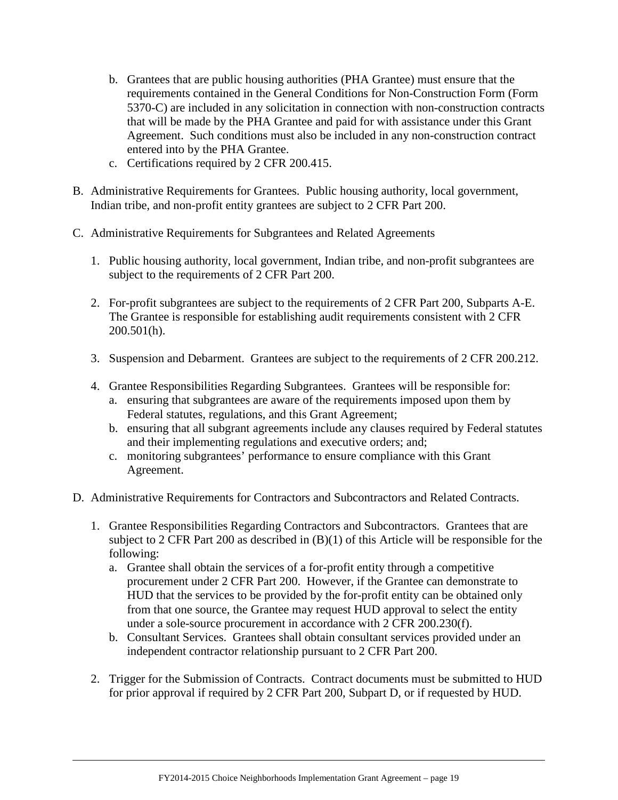- b. Grantees that are public housing authorities (PHA Grantee) must ensure that the requirements contained in the General Conditions for Non-Construction Form (Form 5370-C) are included in any solicitation in connection with non-construction contracts that will be made by the PHA Grantee and paid for with assistance under this Grant Agreement. Such conditions must also be included in any non-construction contract entered into by the PHA Grantee.
- c. Certifications required by 2 CFR 200.415.
- B. Administrative Requirements for Grantees. Public housing authority, local government, Indian tribe, and non-profit entity grantees are subject to 2 CFR Part 200.
- C. Administrative Requirements for Subgrantees and Related Agreements
	- 1. Public housing authority, local government, Indian tribe, and non-profit subgrantees are subject to the requirements of 2 CFR Part 200.
	- 2. For-profit subgrantees are subject to the requirements of 2 CFR Part 200, Subparts A-E. The Grantee is responsible for establishing audit requirements consistent with 2 CFR 200.501(h).
	- 3. Suspension and Debarment. Grantees are subject to the requirements of 2 CFR 200.212.
	- 4. Grantee Responsibilities Regarding Subgrantees. Grantees will be responsible for:
		- a. ensuring that subgrantees are aware of the requirements imposed upon them by Federal statutes, regulations, and this Grant Agreement;
		- b. ensuring that all subgrant agreements include any clauses required by Federal statutes and their implementing regulations and executive orders; and;
		- c. monitoring subgrantees' performance to ensure compliance with this Grant Agreement.
- D. Administrative Requirements for Contractors and Subcontractors and Related Contracts.
	- 1. Grantee Responsibilities Regarding Contractors and Subcontractors. Grantees that are subject to 2 CFR Part 200 as described in (B)(1) of this Article will be responsible for the following:
		- a. Grantee shall obtain the services of a for-profit entity through a competitive procurement under 2 CFR Part 200. However, if the Grantee can demonstrate to HUD that the services to be provided by the for-profit entity can be obtained only from that one source, the Grantee may request HUD approval to select the entity under a sole-source procurement in accordance with 2 CFR 200.230(f).
		- b. Consultant Services. Grantees shall obtain consultant services provided under an independent contractor relationship pursuant to 2 CFR Part 200.
	- 2. Trigger for the Submission of Contracts. Contract documents must be submitted to HUD for prior approval if required by 2 CFR Part 200, Subpart D, or if requested by HUD.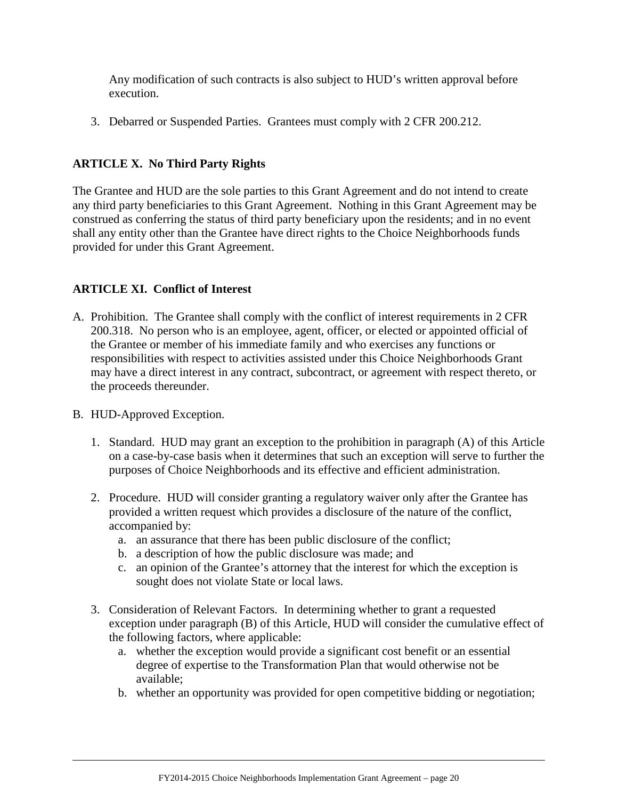Any modification of such contracts is also subject to HUD's written approval before execution.

3. Debarred or Suspended Parties. Grantees must comply with 2 CFR 200.212.

# <span id="page-20-0"></span>**ARTICLE X. No Third Party Rights**

The Grantee and HUD are the sole parties to this Grant Agreement and do not intend to create any third party beneficiaries to this Grant Agreement. Nothing in this Grant Agreement may be construed as conferring the status of third party beneficiary upon the residents; and in no event shall any entity other than the Grantee have direct rights to the Choice Neighborhoods funds provided for under this Grant Agreement.

# <span id="page-20-1"></span>**ARTICLE XI. Conflict of Interest**

- A. Prohibition. The Grantee shall comply with the conflict of interest requirements in 2 CFR 200.318. No person who is an employee, agent, officer, or elected or appointed official of the Grantee or member of his immediate family and who exercises any functions or responsibilities with respect to activities assisted under this Choice Neighborhoods Grant may have a direct interest in any contract, subcontract, or agreement with respect thereto, or the proceeds thereunder.
- B. HUD-Approved Exception.
	- 1. Standard. HUD may grant an exception to the prohibition in paragraph (A) of this Article on a case-by-case basis when it determines that such an exception will serve to further the purposes of Choice Neighborhoods and its effective and efficient administration.
	- 2. Procedure. HUD will consider granting a regulatory waiver only after the Grantee has provided a written request which provides a disclosure of the nature of the conflict, accompanied by:
		- a. an assurance that there has been public disclosure of the conflict;
		- b. a description of how the public disclosure was made; and
		- c. an opinion of the Grantee's attorney that the interest for which the exception is sought does not violate State or local laws.
	- 3. Consideration of Relevant Factors. In determining whether to grant a requested exception under paragraph (B) of this Article, HUD will consider the cumulative effect of the following factors, where applicable:
		- a. whether the exception would provide a significant cost benefit or an essential degree of expertise to the Transformation Plan that would otherwise not be available;
		- b. whether an opportunity was provided for open competitive bidding or negotiation;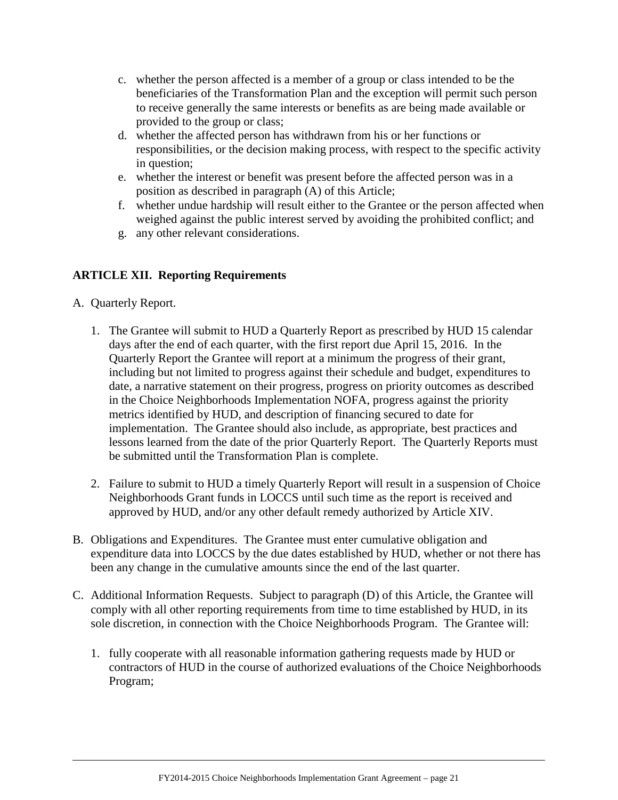- c. whether the person affected is a member of a group or class intended to be the beneficiaries of the Transformation Plan and the exception will permit such person to receive generally the same interests or benefits as are being made available or provided to the group or class;
- d. whether the affected person has withdrawn from his or her functions or responsibilities, or the decision making process, with respect to the specific activity in question;
- e. whether the interest or benefit was present before the affected person was in a position as described in paragraph (A) of this Article;
- f. whether undue hardship will result either to the Grantee or the person affected when weighed against the public interest served by avoiding the prohibited conflict; and
- g. any other relevant considerations.

# <span id="page-21-0"></span>**ARTICLE XII. Reporting Requirements**

- A. Quarterly Report.
	- 1. The Grantee will submit to HUD a Quarterly Report as prescribed by HUD 15 calendar days after the end of each quarter, with the first report due April 15, 2016. In the Quarterly Report the Grantee will report at a minimum the progress of their grant, including but not limited to progress against their schedule and budget, expenditures to date, a narrative statement on their progress, progress on priority outcomes as described in the Choice Neighborhoods Implementation NOFA, progress against the priority metrics identified by HUD, and description of financing secured to date for implementation. The Grantee should also include, as appropriate, best practices and lessons learned from the date of the prior Quarterly Report. The Quarterly Reports must be submitted until the Transformation Plan is complete.
	- 2. Failure to submit to HUD a timely Quarterly Report will result in a suspension of Choice Neighborhoods Grant funds in LOCCS until such time as the report is received and approved by HUD, and/or any other default remedy authorized by Article XIV.
- B. Obligations and Expenditures. The Grantee must enter cumulative obligation and expenditure data into LOCCS by the due dates established by HUD, whether or not there has been any change in the cumulative amounts since the end of the last quarter.
- C. Additional Information Requests. Subject to paragraph (D) of this Article, the Grantee will comply with all other reporting requirements from time to time established by HUD, in its sole discretion, in connection with the Choice Neighborhoods Program. The Grantee will:
	- 1. fully cooperate with all reasonable information gathering requests made by HUD or contractors of HUD in the course of authorized evaluations of the Choice Neighborhoods Program;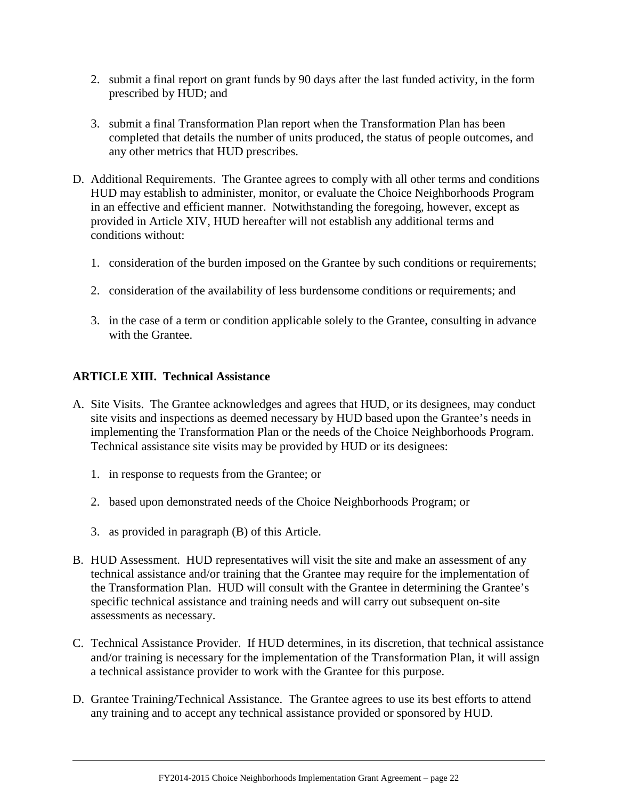- 2. submit a final report on grant funds by 90 days after the last funded activity, in the form prescribed by HUD; and
- 3. submit a final Transformation Plan report when the Transformation Plan has been completed that details the number of units produced, the status of people outcomes, and any other metrics that HUD prescribes.
- D. Additional Requirements. The Grantee agrees to comply with all other terms and conditions HUD may establish to administer, monitor, or evaluate the Choice Neighborhoods Program in an effective and efficient manner. Notwithstanding the foregoing, however, except as provided in Article XIV, HUD hereafter will not establish any additional terms and conditions without:
	- 1. consideration of the burden imposed on the Grantee by such conditions or requirements;
	- 2. consideration of the availability of less burdensome conditions or requirements; and
	- 3. in the case of a term or condition applicable solely to the Grantee, consulting in advance with the Grantee.

## <span id="page-22-0"></span>**ARTICLE XIII. Technical Assistance**

- A. Site Visits. The Grantee acknowledges and agrees that HUD, or its designees, may conduct site visits and inspections as deemed necessary by HUD based upon the Grantee's needs in implementing the Transformation Plan or the needs of the Choice Neighborhoods Program. Technical assistance site visits may be provided by HUD or its designees:
	- 1. in response to requests from the Grantee; or
	- 2. based upon demonstrated needs of the Choice Neighborhoods Program; or
	- 3. as provided in paragraph (B) of this Article.
- B. HUD Assessment. HUD representatives will visit the site and make an assessment of any technical assistance and/or training that the Grantee may require for the implementation of the Transformation Plan. HUD will consult with the Grantee in determining the Grantee's specific technical assistance and training needs and will carry out subsequent on-site assessments as necessary.
- C. Technical Assistance Provider. If HUD determines, in its discretion, that technical assistance and/or training is necessary for the implementation of the Transformation Plan, it will assign a technical assistance provider to work with the Grantee for this purpose.
- D. Grantee Training/Technical Assistance. The Grantee agrees to use its best efforts to attend any training and to accept any technical assistance provided or sponsored by HUD.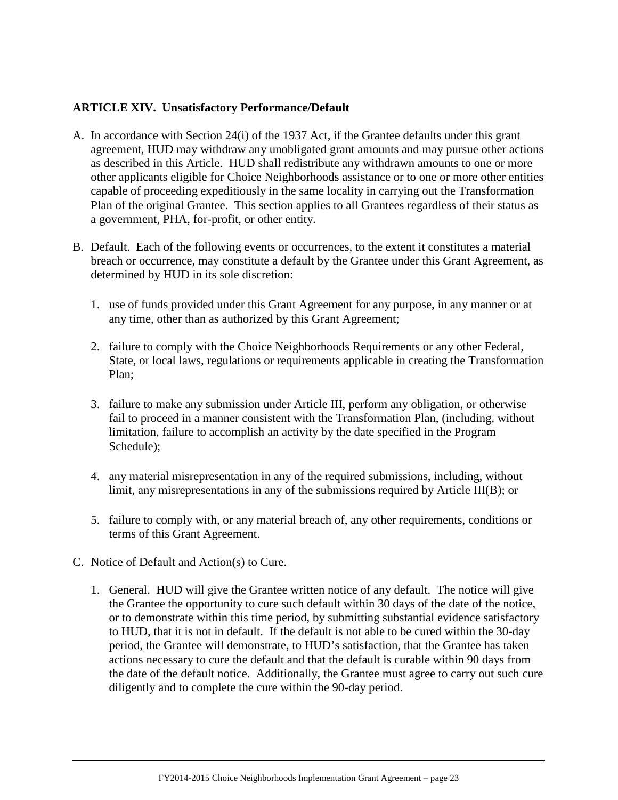#### <span id="page-23-0"></span>**ARTICLE XIV. Unsatisfactory Performance/Default**

- A. In accordance with Section 24(i) of the 1937 Act, if the Grantee defaults under this grant agreement, HUD may withdraw any unobligated grant amounts and may pursue other actions as described in this Article. HUD shall redistribute any withdrawn amounts to one or more other applicants eligible for Choice Neighborhoods assistance or to one or more other entities capable of proceeding expeditiously in the same locality in carrying out the Transformation Plan of the original Grantee. This section applies to all Grantees regardless of their status as a government, PHA, for-profit, or other entity.
- B. Default. Each of the following events or occurrences, to the extent it constitutes a material breach or occurrence, may constitute a default by the Grantee under this Grant Agreement, as determined by HUD in its sole discretion:
	- 1. use of funds provided under this Grant Agreement for any purpose, in any manner or at any time, other than as authorized by this Grant Agreement;
	- 2. failure to comply with the Choice Neighborhoods Requirements or any other Federal, State, or local laws, regulations or requirements applicable in creating the Transformation Plan;
	- 3. failure to make any submission under Article III, perform any obligation, or otherwise fail to proceed in a manner consistent with the Transformation Plan, (including, without limitation, failure to accomplish an activity by the date specified in the Program Schedule);
	- 4. any material misrepresentation in any of the required submissions, including, without limit, any misrepresentations in any of the submissions required by Article III(B); or
	- 5. failure to comply with, or any material breach of, any other requirements, conditions or terms of this Grant Agreement.
- C. Notice of Default and Action(s) to Cure.
	- 1. General. HUD will give the Grantee written notice of any default. The notice will give the Grantee the opportunity to cure such default within 30 days of the date of the notice, or to demonstrate within this time period, by submitting substantial evidence satisfactory to HUD, that it is not in default. If the default is not able to be cured within the 30-day period, the Grantee will demonstrate, to HUD's satisfaction, that the Grantee has taken actions necessary to cure the default and that the default is curable within 90 days from the date of the default notice. Additionally, the Grantee must agree to carry out such cure diligently and to complete the cure within the 90-day period.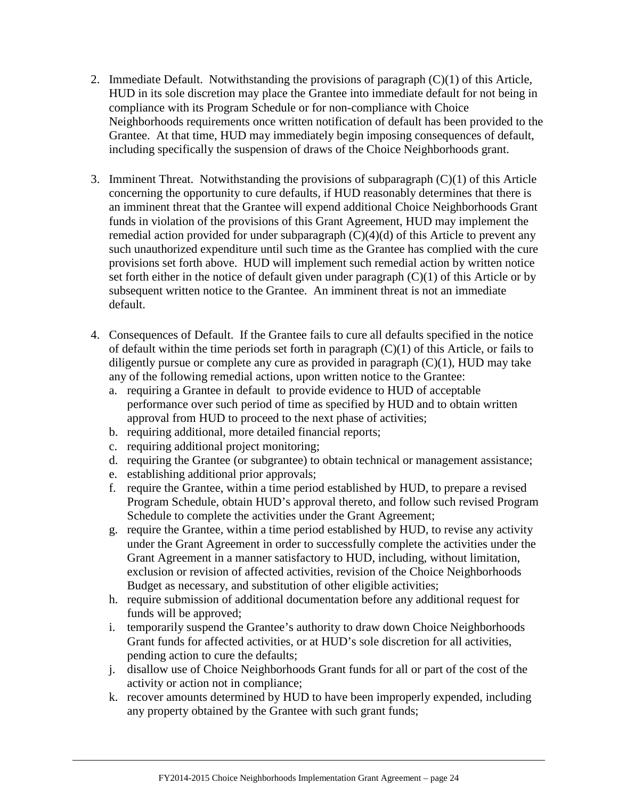- 2. Immediate Default. Notwithstanding the provisions of paragraph (C)(1) of this Article, HUD in its sole discretion may place the Grantee into immediate default for not being in compliance with its Program Schedule or for non-compliance with Choice Neighborhoods requirements once written notification of default has been provided to the Grantee. At that time, HUD may immediately begin imposing consequences of default, including specifically the suspension of draws of the Choice Neighborhoods grant.
- 3. Imminent Threat. Notwithstanding the provisions of subparagraph (C)(1) of this Article concerning the opportunity to cure defaults, if HUD reasonably determines that there is an imminent threat that the Grantee will expend additional Choice Neighborhoods Grant funds in violation of the provisions of this Grant Agreement, HUD may implement the remedial action provided for under subparagraph  $(C)(4)(d)$  of this Article to prevent any such unauthorized expenditure until such time as the Grantee has complied with the cure provisions set forth above. HUD will implement such remedial action by written notice set forth either in the notice of default given under paragraph (C)(1) of this Article or by subsequent written notice to the Grantee. An imminent threat is not an immediate default.
- 4. Consequences of Default. If the Grantee fails to cure all defaults specified in the notice of default within the time periods set forth in paragraph  $(C)(1)$  of this Article, or fails to diligently pursue or complete any cure as provided in paragraph  $(C)(1)$ ,  $HUD$  may take any of the following remedial actions, upon written notice to the Grantee:
	- a. requiring a Grantee in default to provide evidence to HUD of acceptable performance over such period of time as specified by HUD and to obtain written approval from HUD to proceed to the next phase of activities;
	- b. requiring additional, more detailed financial reports;
	- c. requiring additional project monitoring;
	- d. requiring the Grantee (or subgrantee) to obtain technical or management assistance;
	- e. establishing additional prior approvals;
	- f. require the Grantee, within a time period established by HUD, to prepare a revised Program Schedule, obtain HUD's approval thereto, and follow such revised Program Schedule to complete the activities under the Grant Agreement;
	- g. require the Grantee, within a time period established by HUD, to revise any activity under the Grant Agreement in order to successfully complete the activities under the Grant Agreement in a manner satisfactory to HUD, including, without limitation, exclusion or revision of affected activities, revision of the Choice Neighborhoods Budget as necessary, and substitution of other eligible activities;
	- h. require submission of additional documentation before any additional request for funds will be approved;
	- i. temporarily suspend the Grantee's authority to draw down Choice Neighborhoods Grant funds for affected activities, or at HUD's sole discretion for all activities, pending action to cure the defaults;
	- j. disallow use of Choice Neighborhoods Grant funds for all or part of the cost of the activity or action not in compliance;
	- k. recover amounts determined by HUD to have been improperly expended, including any property obtained by the Grantee with such grant funds;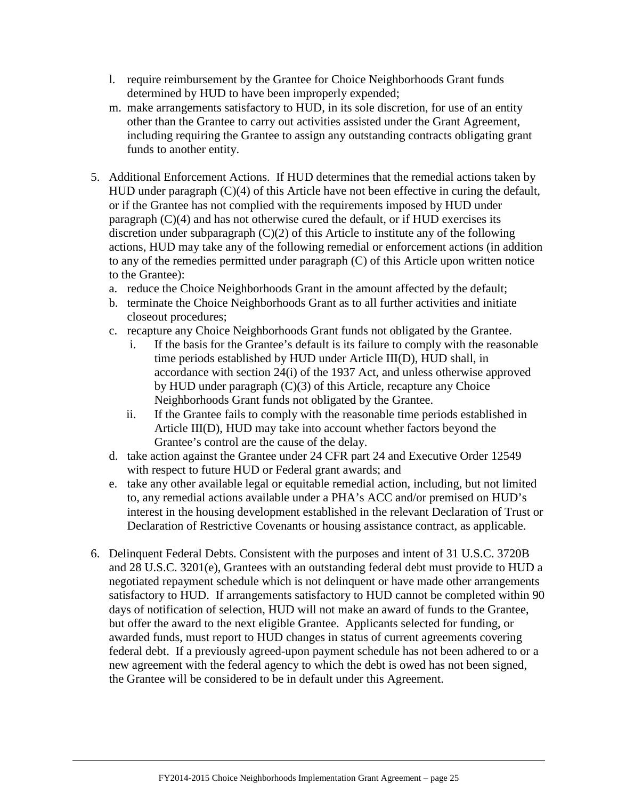- l. require reimbursement by the Grantee for Choice Neighborhoods Grant funds determined by HUD to have been improperly expended;
- m. make arrangements satisfactory to HUD, in its sole discretion, for use of an entity other than the Grantee to carry out activities assisted under the Grant Agreement, including requiring the Grantee to assign any outstanding contracts obligating grant funds to another entity.
- 5. Additional Enforcement Actions. If HUD determines that the remedial actions taken by HUD under paragraph (C)(4) of this Article have not been effective in curing the default, or if the Grantee has not complied with the requirements imposed by HUD under paragraph (C)(4) and has not otherwise cured the default, or if HUD exercises its discretion under subparagraph (C)(2) of this Article to institute any of the following actions, HUD may take any of the following remedial or enforcement actions (in addition to any of the remedies permitted under paragraph (C) of this Article upon written notice to the Grantee):
	- a. reduce the Choice Neighborhoods Grant in the amount affected by the default;
	- b. terminate the Choice Neighborhoods Grant as to all further activities and initiate closeout procedures;
	- c. recapture any Choice Neighborhoods Grant funds not obligated by the Grantee.
		- i. If the basis for the Grantee's default is its failure to comply with the reasonable time periods established by HUD under Article III(D), HUD shall, in accordance with section 24(i) of the 1937 Act, and unless otherwise approved by HUD under paragraph (C)(3) of this Article, recapture any Choice Neighborhoods Grant funds not obligated by the Grantee.
		- ii. If the Grantee fails to comply with the reasonable time periods established in Article III(D), HUD may take into account whether factors beyond the Grantee's control are the cause of the delay.
	- d. take action against the Grantee under 24 CFR part 24 and Executive Order 12549 with respect to future HUD or Federal grant awards; and
	- e. take any other available legal or equitable remedial action, including, but not limited to, any remedial actions available under a PHA's ACC and/or premised on HUD's interest in the housing development established in the relevant Declaration of Trust or Declaration of Restrictive Covenants or housing assistance contract, as applicable.
- 6. Delinquent Federal Debts. Consistent with the purposes and intent of 31 U.S.C. 3720B and 28 U.S.C. 3201(e), Grantees with an outstanding federal debt must provide to HUD a negotiated repayment schedule which is not delinquent or have made other arrangements satisfactory to HUD. If arrangements satisfactory to HUD cannot be completed within 90 days of notification of selection, HUD will not make an award of funds to the Grantee, but offer the award to the next eligible Grantee. Applicants selected for funding, or awarded funds, must report to HUD changes in status of current agreements covering federal debt. If a previously agreed-upon payment schedule has not been adhered to or a new agreement with the federal agency to which the debt is owed has not been signed, the Grantee will be considered to be in default under this Agreement.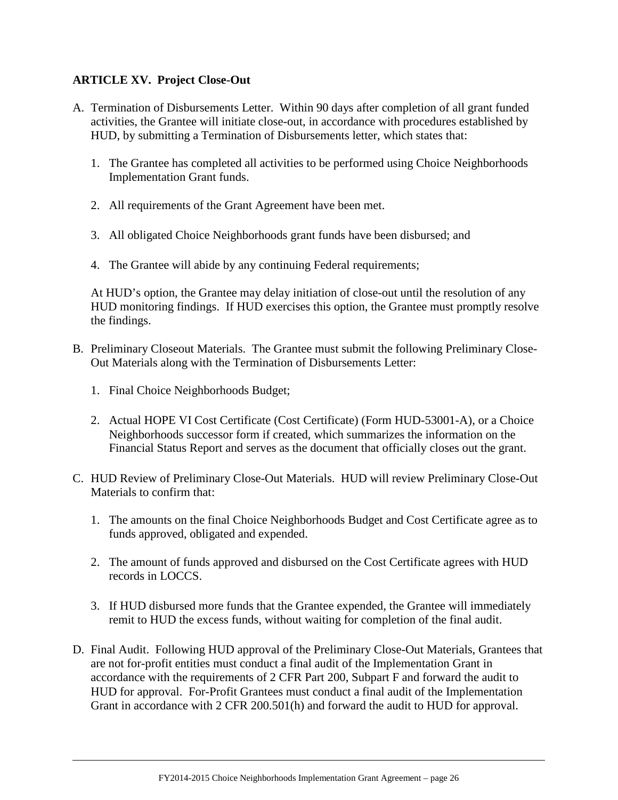## <span id="page-26-0"></span>**ARTICLE XV. Project Close-Out**

- A. Termination of Disbursements Letter. Within 90 days after completion of all grant funded activities, the Grantee will initiate close-out, in accordance with procedures established by HUD, by submitting a Termination of Disbursements letter, which states that:
	- 1. The Grantee has completed all activities to be performed using Choice Neighborhoods Implementation Grant funds.
	- 2. All requirements of the Grant Agreement have been met.
	- 3. All obligated Choice Neighborhoods grant funds have been disbursed; and
	- 4. The Grantee will abide by any continuing Federal requirements;

At HUD's option, the Grantee may delay initiation of close-out until the resolution of any HUD monitoring findings. If HUD exercises this option, the Grantee must promptly resolve the findings.

- B. Preliminary Closeout Materials. The Grantee must submit the following Preliminary Close-Out Materials along with the Termination of Disbursements Letter:
	- 1. Final Choice Neighborhoods Budget;
	- 2. Actual HOPE VI Cost Certificate (Cost Certificate) (Form HUD-53001-A), or a Choice Neighborhoods successor form if created, which summarizes the information on the Financial Status Report and serves as the document that officially closes out the grant.
- C. HUD Review of Preliminary Close-Out Materials. HUD will review Preliminary Close-Out Materials to confirm that:
	- 1. The amounts on the final Choice Neighborhoods Budget and Cost Certificate agree as to funds approved, obligated and expended.
	- 2. The amount of funds approved and disbursed on the Cost Certificate agrees with HUD records in LOCCS.
	- 3. If HUD disbursed more funds that the Grantee expended, the Grantee will immediately remit to HUD the excess funds, without waiting for completion of the final audit.
- D. Final Audit. Following HUD approval of the Preliminary Close-Out Materials, Grantees that are not for-profit entities must conduct a final audit of the Implementation Grant in accordance with the requirements of 2 CFR Part 200, Subpart F and forward the audit to HUD for approval. For-Profit Grantees must conduct a final audit of the Implementation Grant in accordance with 2 CFR 200.501(h) and forward the audit to HUD for approval.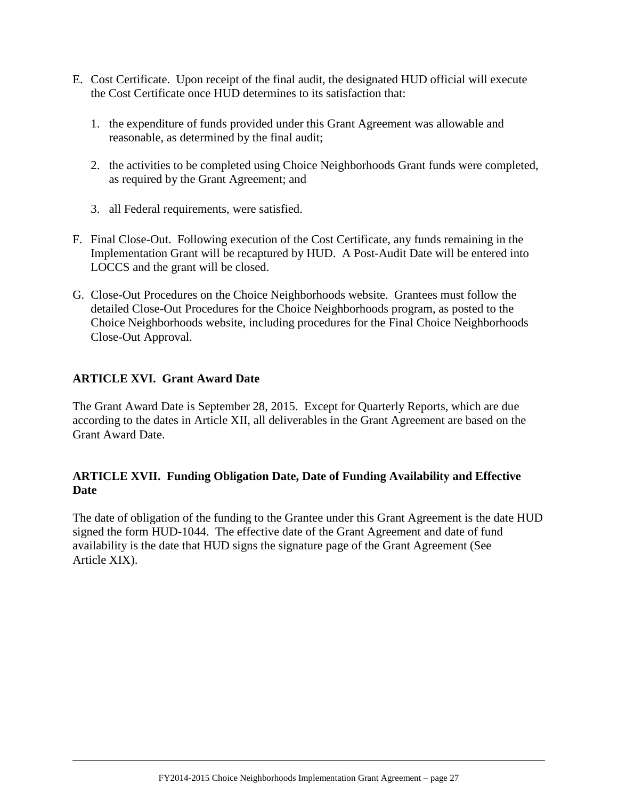- E. Cost Certificate. Upon receipt of the final audit, the designated HUD official will execute the Cost Certificate once HUD determines to its satisfaction that:
	- 1. the expenditure of funds provided under this Grant Agreement was allowable and reasonable, as determined by the final audit;
	- 2. the activities to be completed using Choice Neighborhoods Grant funds were completed, as required by the Grant Agreement; and
	- 3. all Federal requirements, were satisfied.
- F. Final Close-Out. Following execution of the Cost Certificate, any funds remaining in the Implementation Grant will be recaptured by HUD. A Post-Audit Date will be entered into LOCCS and the grant will be closed.
- G. Close-Out Procedures on the Choice Neighborhoods website. Grantees must follow the detailed Close-Out Procedures for the Choice Neighborhoods program, as posted to the Choice Neighborhoods website, including procedures for the Final Choice Neighborhoods Close-Out Approval.

## <span id="page-27-0"></span>**ARTICLE XVI. Grant Award Date**

The Grant Award Date is September 28, 2015. Except for Quarterly Reports, which are due according to the dates in Article XII, all deliverables in the Grant Agreement are based on the Grant Award Date.

## <span id="page-27-1"></span>**ARTICLE XVII. Funding Obligation Date, Date of Funding Availability and Effective Date**

<span id="page-27-2"></span>The date of obligation of the funding to the Grantee under this Grant Agreement is the date HUD signed the form HUD-1044. The effective date of the Grant Agreement and date of fund availability is the date that HUD signs the signature page of the Grant Agreement (See Article XIX).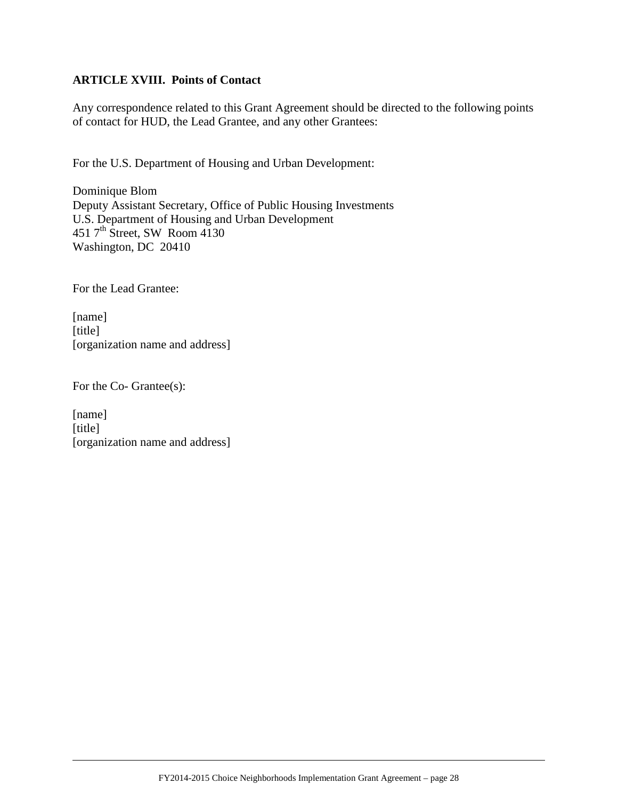## **ARTICLE XVIII. Points of Contact**

Any correspondence related to this Grant Agreement should be directed to the following points of contact for HUD, the Lead Grantee, and any other Grantees:

For the U.S. Department of Housing and Urban Development:

Dominique Blom Deputy Assistant Secretary, Office of Public Housing Investments U.S. Department of Housing and Urban Development 451  $7<sup>th</sup>$  Street, SW Room 4130 Washington, DC 20410

For the Lead Grantee:

[name] [title] [organization name and address]

For the Co- Grantee(s):

[name] [title] [organization name and address]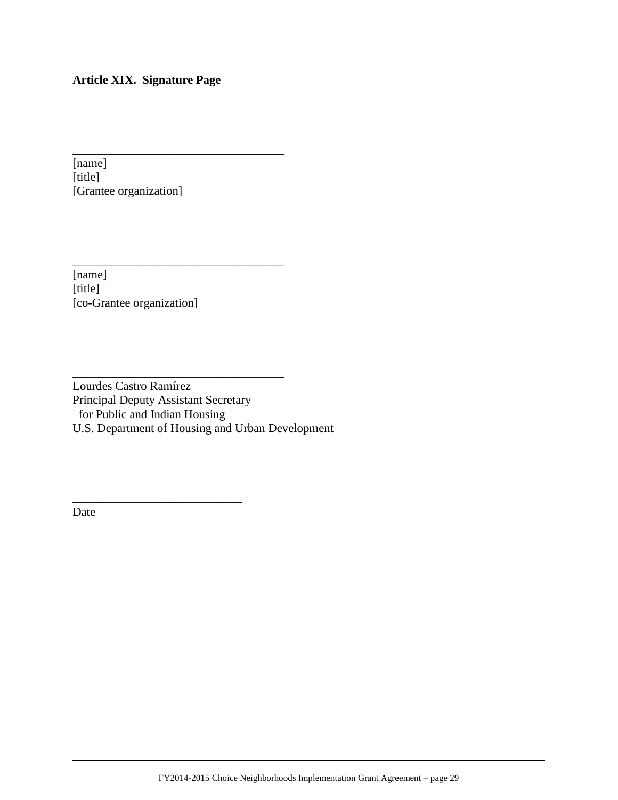# <span id="page-29-0"></span>**Article XIX. Signature Page**

\_\_\_\_\_\_\_\_\_\_\_\_\_\_\_\_\_\_\_\_\_\_\_\_\_\_\_\_\_\_\_\_\_\_\_

\_\_\_\_\_\_\_\_\_\_\_\_\_\_\_\_\_\_\_\_\_\_\_\_\_\_\_\_\_\_\_\_\_\_\_

\_\_\_\_\_\_\_\_\_\_\_\_\_\_\_\_\_\_\_\_\_\_\_\_\_\_\_\_\_\_\_\_\_\_\_

\_\_\_\_\_\_\_\_\_\_\_\_\_\_\_\_\_\_\_\_\_\_\_\_\_\_\_\_

[name] [title] [Grantee organization]

[name]  $[title]$ [co-Grantee organization]

Lourdes Castro Ramírez Principal Deputy Assistant Secretary for Public and Indian Housing U.S. Department of Housing and Urban Development

Date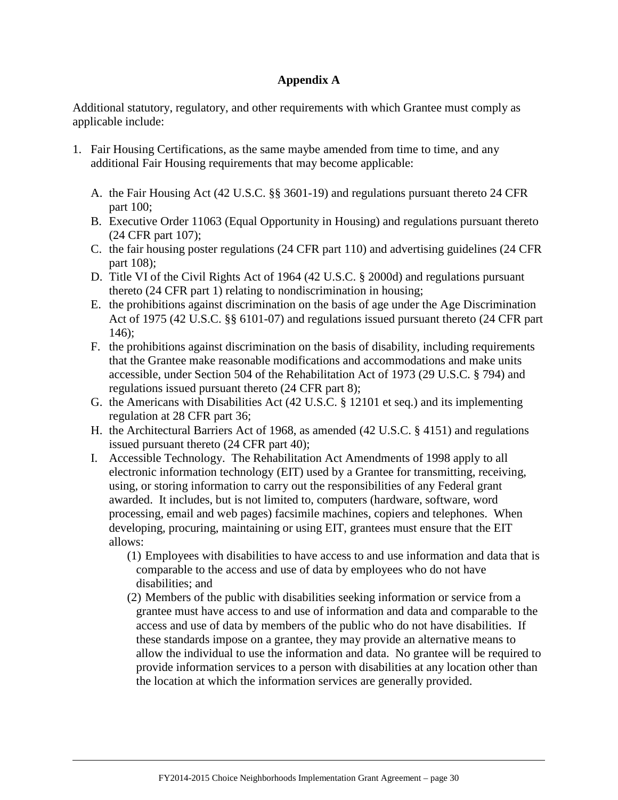#### <span id="page-30-0"></span>**Appendix A**

Additional statutory, regulatory, and other requirements with which Grantee must comply as applicable include:

- 1. Fair Housing Certifications, as the same maybe amended from time to time, and any additional Fair Housing requirements that may become applicable:
	- A. the Fair Housing Act (42 U.S.C. §§ 3601-19) and regulations pursuant thereto 24 CFR part 100;
	- B. Executive Order 11063 (Equal Opportunity in Housing) and regulations pursuant thereto (24 CFR part 107);
	- C. the fair housing poster regulations (24 CFR part 110) and advertising guidelines (24 CFR part 108);
	- D. Title VI of the Civil Rights Act of 1964 (42 U.S.C. § 2000d) and regulations pursuant thereto (24 CFR part 1) relating to nondiscrimination in housing;
	- E. the prohibitions against discrimination on the basis of age under the Age Discrimination Act of 1975 (42 U.S.C. §§ 6101-07) and regulations issued pursuant thereto (24 CFR part 146);
	- F. the prohibitions against discrimination on the basis of disability, including requirements that the Grantee make reasonable modifications and accommodations and make units accessible, under Section 504 of the Rehabilitation Act of 1973 (29 U.S.C. § 794) and regulations issued pursuant thereto (24 CFR part 8);
	- G. the Americans with Disabilities Act (42 U.S.C. § 12101 et seq.) and its implementing regulation at 28 CFR part 36;
	- H. the Architectural Barriers Act of 1968, as amended (42 U.S.C. § 4151) and regulations issued pursuant thereto (24 CFR part 40);
	- I. Accessible Technology. The Rehabilitation Act Amendments of 1998 apply to all electronic information technology (EIT) used by a Grantee for transmitting, receiving, using, or storing information to carry out the responsibilities of any Federal grant awarded. It includes, but is not limited to, computers (hardware, software, word processing, email and web pages) facsimile machines, copiers and telephones. When developing, procuring, maintaining or using EIT, grantees must ensure that the EIT allows:
		- (1) Employees with disabilities to have access to and use information and data that is comparable to the access and use of data by employees who do not have disabilities; and
		- (2) Members of the public with disabilities seeking information or service from a grantee must have access to and use of information and data and comparable to the access and use of data by members of the public who do not have disabilities. If these standards impose on a grantee, they may provide an alternative means to allow the individual to use the information and data. No grantee will be required to provide information services to a person with disabilities at any location other than the location at which the information services are generally provided.